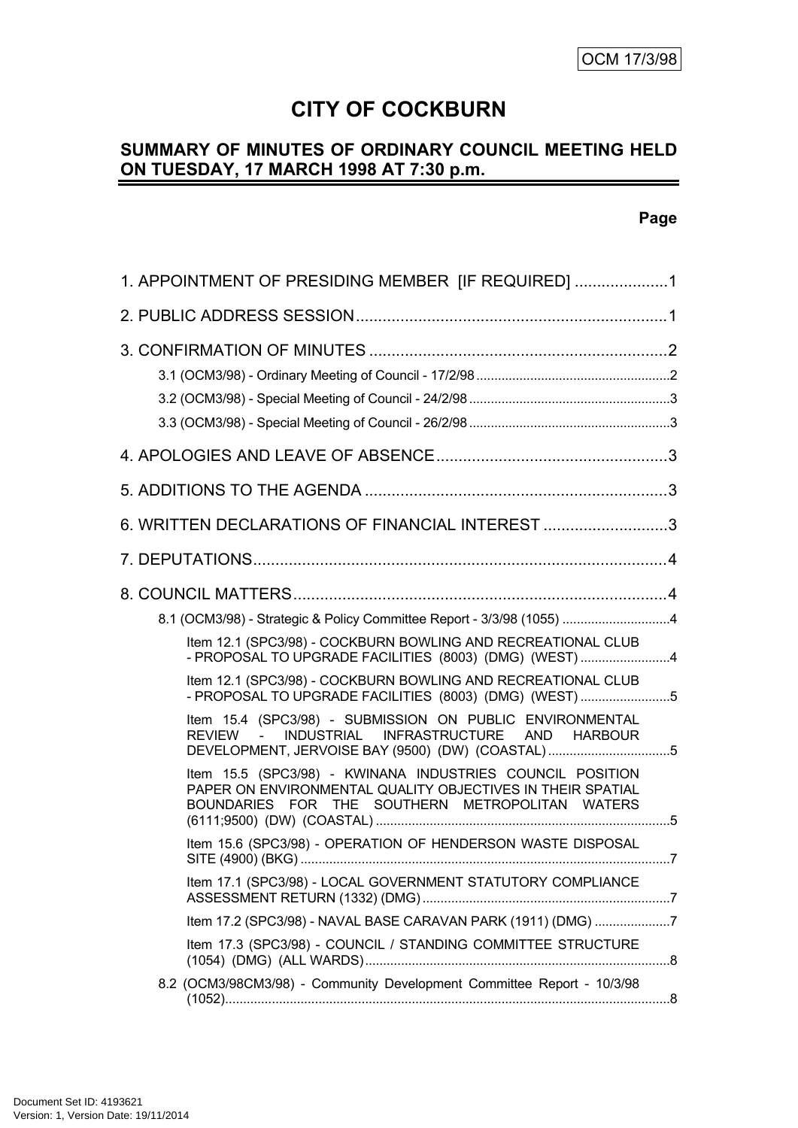# **CITY OF COCKBURN**

## **SUMMARY OF MINUTES OF ORDINARY COUNCIL MEETING HELD ON TUESDAY, 17 MARCH 1998 AT 7:30 p.m.**

## **Page**

| 1. APPOINTMENT OF PRESIDING MEMBER [IF REQUIRED] 1                                                                                                                         |  |
|----------------------------------------------------------------------------------------------------------------------------------------------------------------------------|--|
|                                                                                                                                                                            |  |
|                                                                                                                                                                            |  |
|                                                                                                                                                                            |  |
|                                                                                                                                                                            |  |
| 6. WRITTEN DECLARATIONS OF FINANCIAL INTEREST 3                                                                                                                            |  |
|                                                                                                                                                                            |  |
|                                                                                                                                                                            |  |
| 8.1 (OCM3/98) - Strategic & Policy Committee Report - 3/3/98 (1055) 4                                                                                                      |  |
| Item 12.1 (SPC3/98) - COCKBURN BOWLING AND RECREATIONAL CLUB<br>- PROPOSAL TO UPGRADE FACILITIES (8003) (DMG) (WEST)4                                                      |  |
| Item 12.1 (SPC3/98) - COCKBURN BOWLING AND RECREATIONAL CLUB<br>- PROPOSAL TO UPGRADE FACILITIES (8003) (DMG) (WEST)5                                                      |  |
| Item 15.4 (SPC3/98) - SUBMISSION ON PUBLIC ENVIRONMENTAL<br>INDUSTRIAL INFRASTRUCTURE AND HARBOUR<br>REVIEW -<br>DEVELOPMENT, JERVOISE BAY (9500) (DW) (COASTAL)5          |  |
| Item 15.5 (SPC3/98) - KWINANA INDUSTRIES COUNCIL POSITION<br>PAPER ON ENVIRONMENTAL QUALITY OBJECTIVES IN THEIR SPATIAL<br>BOUNDARIES FOR THE SOUTHERN METROPOLITAN WATERS |  |
| Item 15.6 (SPC3/98) - OPERATION OF HENDERSON WASTE DISPOSAL                                                                                                                |  |
| Item 17.1 (SPC3/98) - LOCAL GOVERNMENT STATUTORY COMPLIANCE                                                                                                                |  |
| Item 17.2 (SPC3/98) - NAVAL BASE CARAVAN PARK (1911) (DMG) 7                                                                                                               |  |
| Item 17.3 (SPC3/98) - COUNCIL / STANDING COMMITTEE STRUCTURE                                                                                                               |  |
| 8.2 (OCM3/98CM3/98) - Community Development Committee Report - 10/3/98                                                                                                     |  |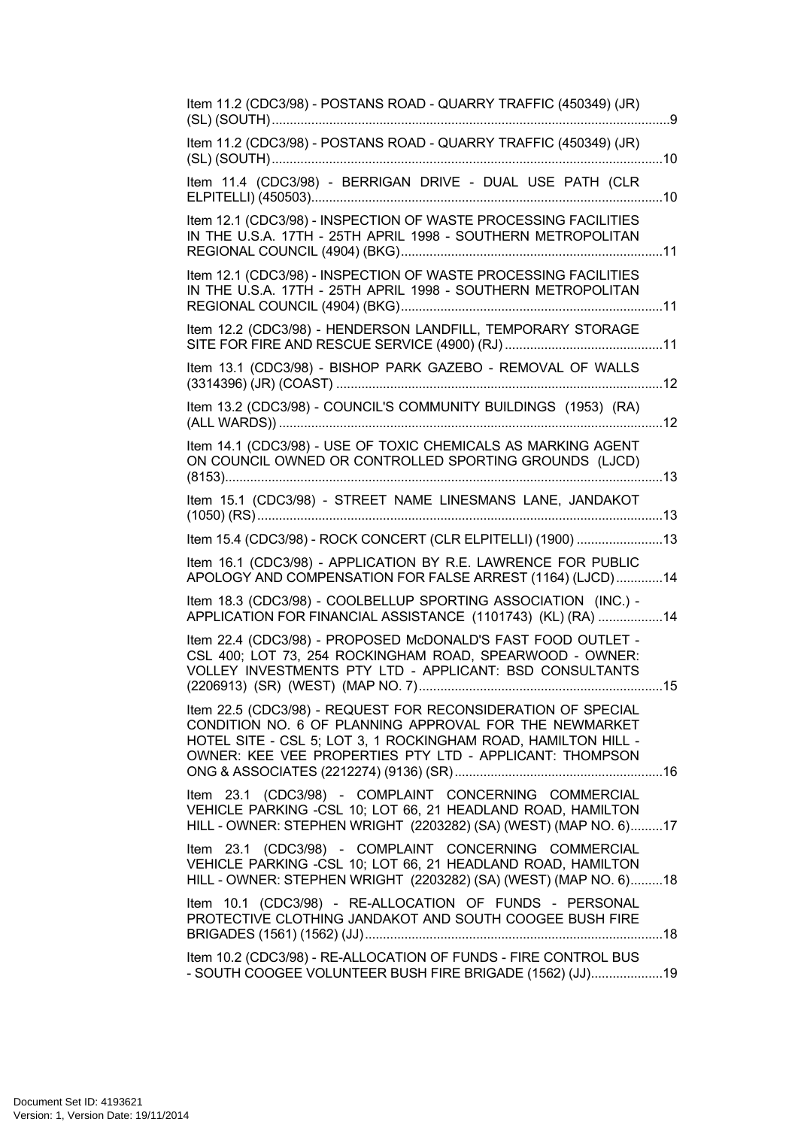| Item 11.2 (CDC3/98) - POSTANS ROAD - QUARRY TRAFFIC (450349) (JR)                                                                                                                                                                                  |
|----------------------------------------------------------------------------------------------------------------------------------------------------------------------------------------------------------------------------------------------------|
| Item 11.2 (CDC3/98) - POSTANS ROAD - QUARRY TRAFFIC (450349) (JR)                                                                                                                                                                                  |
| Item 11.4 (CDC3/98) - BERRIGAN DRIVE - DUAL USE PATH (CLR                                                                                                                                                                                          |
| Item 12.1 (CDC3/98) - INSPECTION OF WASTE PROCESSING FACILITIES<br>IN THE U.S.A. 17TH - 25TH APRIL 1998 - SOUTHERN METROPOLITAN                                                                                                                    |
| Item 12.1 (CDC3/98) - INSPECTION OF WASTE PROCESSING FACILITIES<br>IN THE U.S.A. 17TH - 25TH APRIL 1998 - SOUTHERN METROPOLITAN                                                                                                                    |
| Item 12.2 (CDC3/98) - HENDERSON LANDFILL, TEMPORARY STORAGE                                                                                                                                                                                        |
| Item 13.1 (CDC3/98) - BISHOP PARK GAZEBO - REMOVAL OF WALLS                                                                                                                                                                                        |
| Item 13.2 (CDC3/98) - COUNCIL'S COMMUNITY BUILDINGS (1953) (RA)                                                                                                                                                                                    |
| Item 14.1 (CDC3/98) - USE OF TOXIC CHEMICALS AS MARKING AGENT<br>ON COUNCIL OWNED OR CONTROLLED SPORTING GROUNDS (LJCD)                                                                                                                            |
| Item 15.1 (CDC3/98) - STREET NAME LINESMANS LANE, JANDAKOT                                                                                                                                                                                         |
| Item 15.4 (CDC3/98) - ROCK CONCERT (CLR ELPITELLI) (1900) 13                                                                                                                                                                                       |
| Item 16.1 (CDC3/98) - APPLICATION BY R.E. LAWRENCE FOR PUBLIC<br>APOLOGY AND COMPENSATION FOR FALSE ARREST (1164) (LJCD)14                                                                                                                         |
| Item 18.3 (CDC3/98) - COOLBELLUP SPORTING ASSOCIATION (INC.) -<br>APPLICATION FOR FINANCIAL ASSISTANCE (1101743) (KL) (RA) 14                                                                                                                      |
| Item 22.4 (CDC3/98) - PROPOSED McDONALD'S FAST FOOD OUTLET -<br>CSL 400; LOT 73, 254 ROCKINGHAM ROAD, SPEARWOOD - OWNER:<br>VOLLEY INVESTMENTS PTY LTD - APPLICANT: BSD CONSULTANTS                                                                |
| Item 22.5 (CDC3/98) - REQUEST FOR RECONSIDERATION OF SPECIAL<br>CONDITION NO. 6 OF PLANNING APPROVAL FOR THE NEWMARKET<br>HOTEL SITE - CSL 5; LOT 3, 1 ROCKINGHAM ROAD, HAMILTON HILL -<br>OWNER: KEE VEE PROPERTIES PTY LTD - APPLICANT: THOMPSON |
| Item 23.1 (CDC3/98) - COMPLAINT CONCERNING COMMERCIAL<br>VEHICLE PARKING -CSL 10; LOT 66, 21 HEADLAND ROAD, HAMILTON<br>HILL - OWNER: STEPHEN WRIGHT (2203282) (SA) (WEST) (MAP NO. 6)17                                                           |
| Item 23.1 (CDC3/98) - COMPLAINT CONCERNING COMMERCIAL<br>VEHICLE PARKING - CSL 10; LOT 66, 21 HEADLAND ROAD, HAMILTON<br>HILL - OWNER: STEPHEN WRIGHT (2203282) (SA) (WEST) (MAP NO. 6)18                                                          |
| Item 10.1 (CDC3/98) - RE-ALLOCATION OF FUNDS - PERSONAL<br>PROTECTIVE CLOTHING JANDAKOT AND SOUTH COOGEE BUSH FIRE                                                                                                                                 |
| Item 10.2 (CDC3/98) - RE-ALLOCATION OF FUNDS - FIRE CONTROL BUS<br>- SOUTH COOGEE VOLUNTEER BUSH FIRE BRIGADE (1562) (JJ)19                                                                                                                        |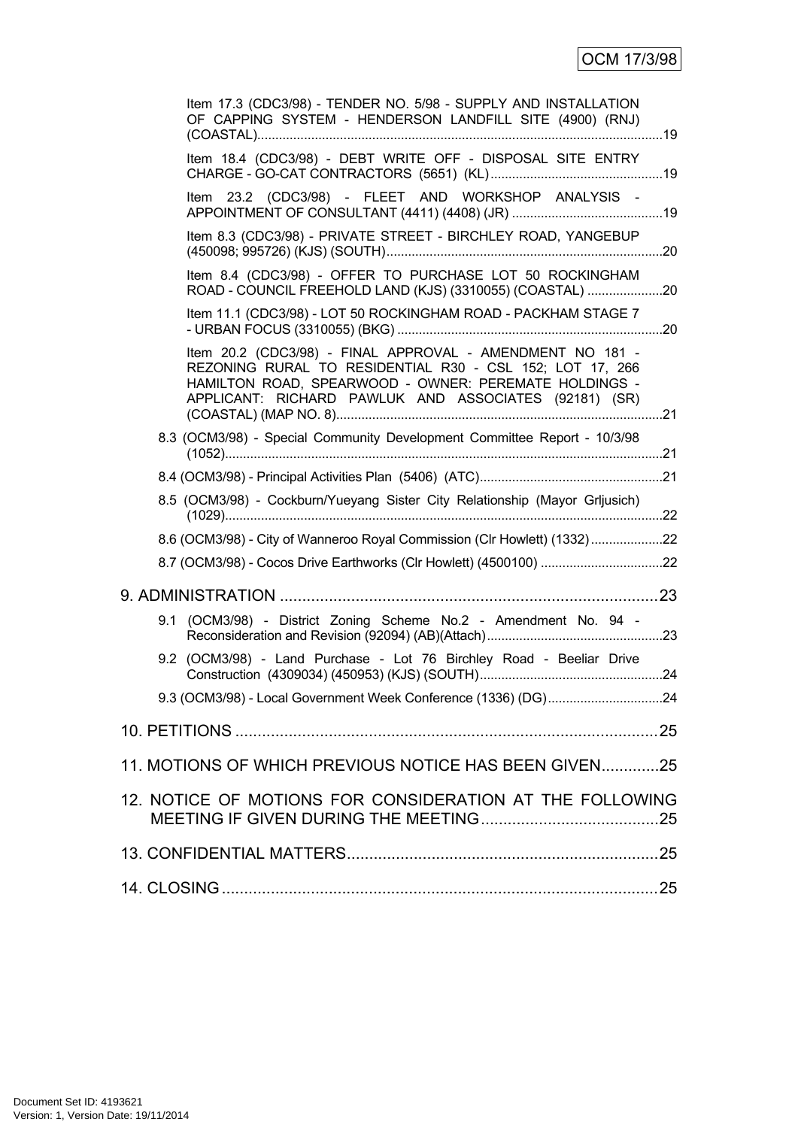| Item 17.3 (CDC3/98) - TENDER NO. 5/98 - SUPPLY AND INSTALLATION<br>OF CAPPING SYSTEM - HENDERSON LANDFILL SITE (4900) (RNJ)                                                                                                             |  |
|-----------------------------------------------------------------------------------------------------------------------------------------------------------------------------------------------------------------------------------------|--|
| Item 18.4 (CDC3/98) - DEBT WRITE OFF - DISPOSAL SITE ENTRY                                                                                                                                                                              |  |
| Item 23.2 (CDC3/98) - FLEET AND WORKSHOP ANALYSIS -                                                                                                                                                                                     |  |
| Item 8.3 (CDC3/98) - PRIVATE STREET - BIRCHLEY ROAD, YANGEBUP                                                                                                                                                                           |  |
| Item 8.4 (CDC3/98) - OFFER TO PURCHASE LOT 50 ROCKINGHAM<br>ROAD - COUNCIL FREEHOLD LAND (KJS) (3310055) (COASTAL) 20                                                                                                                   |  |
| Item 11.1 (CDC3/98) - LOT 50 ROCKINGHAM ROAD - PACKHAM STAGE 7                                                                                                                                                                          |  |
| Item 20.2 (CDC3/98) - FINAL APPROVAL - AMENDMENT NO 181 -<br>REZONING RURAL TO RESIDENTIAL R30 - CSL 152; LOT 17, 266<br>HAMILTON ROAD, SPEARWOOD - OWNER: PEREMATE HOLDINGS -<br>APPLICANT: RICHARD PAWLUK AND ASSOCIATES (92181) (SR) |  |
| 8.3 (OCM3/98) - Special Community Development Committee Report - 10/3/98                                                                                                                                                                |  |
|                                                                                                                                                                                                                                         |  |
| 8.5 (OCM3/98) - Cockburn/Yueyang Sister City Relationship (Mayor Grijusich)                                                                                                                                                             |  |
| 8.6 (OCM3/98) - City of Wanneroo Royal Commission (Clr Howlett) (1332)22                                                                                                                                                                |  |
|                                                                                                                                                                                                                                         |  |
|                                                                                                                                                                                                                                         |  |
| 9.1 (OCM3/98) - District Zoning Scheme No.2 - Amendment No. 94 -                                                                                                                                                                        |  |
| 9.2 (OCM3/98) - Land Purchase - Lot 76 Birchley Road - Beeliar Drive                                                                                                                                                                    |  |
|                                                                                                                                                                                                                                         |  |
|                                                                                                                                                                                                                                         |  |
| 11. MOTIONS OF WHICH PREVIOUS NOTICE HAS BEEN GIVEN25                                                                                                                                                                                   |  |
| 12. NOTICE OF MOTIONS FOR CONSIDERATION AT THE FOLLOWING                                                                                                                                                                                |  |
|                                                                                                                                                                                                                                         |  |
|                                                                                                                                                                                                                                         |  |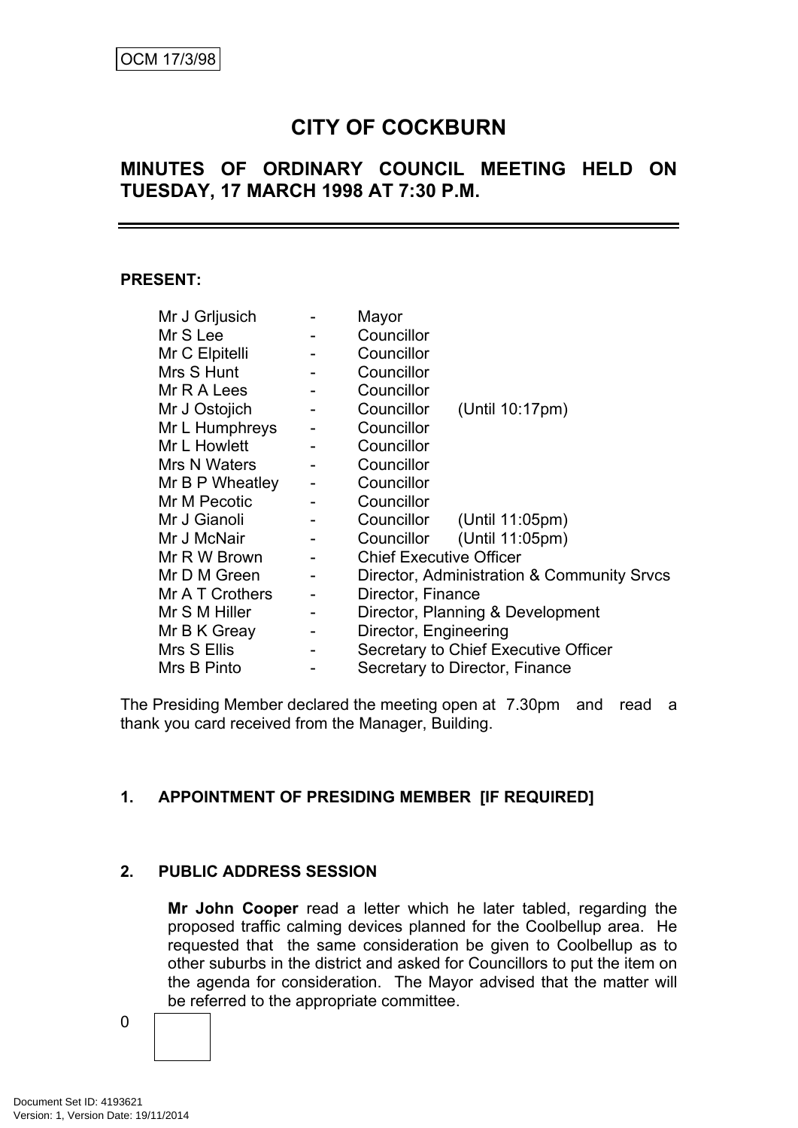# **CITY OF COCKBURN**

## **MINUTES OF ORDINARY COUNCIL MEETING HELD ON TUESDAY, 17 MARCH 1998 AT 7:30 P.M.**

### **PRESENT:**

| Mr J Grljusich  |                          | Mayor                                      |  |  |
|-----------------|--------------------------|--------------------------------------------|--|--|
| Mr S Lee        |                          | Councillor                                 |  |  |
| Mr C Elpitelli  |                          | Councillor                                 |  |  |
| Mrs S Hunt      |                          | Councillor                                 |  |  |
| Mr R A Lees     |                          | Councillor                                 |  |  |
| Mr J Ostojich   | $\overline{\phantom{a}}$ | Councillor<br>(Until 10:17pm)              |  |  |
| Mr L Humphreys  | $\overline{\phantom{a}}$ | Councillor                                 |  |  |
| Mr L Howlett    |                          | Councillor                                 |  |  |
| Mrs N Waters    |                          | Councillor                                 |  |  |
| Mr B P Wheatley | $\overline{\phantom{a}}$ | Councillor                                 |  |  |
| Mr M Pecotic    |                          | Councillor                                 |  |  |
| Mr J Gianoli    |                          | Councillor (Until 11:05pm)                 |  |  |
| Mr J McNair     |                          | Councillor (Until 11:05pm)                 |  |  |
| Mr R W Brown    |                          | <b>Chief Executive Officer</b>             |  |  |
| Mr D M Green    | $\blacksquare$           | Director, Administration & Community Srvcs |  |  |
| Mr A T Crothers | $\blacksquare$           | Director, Finance                          |  |  |
| Mr S M Hiller   | $\overline{\phantom{a}}$ | Director, Planning & Development           |  |  |
| Mr B K Greay    | $\qquad \qquad -$        | Director, Engineering                      |  |  |
| Mrs S Ellis     |                          | Secretary to Chief Executive Officer       |  |  |
| Mrs B Pinto     |                          | Secretary to Director, Finance             |  |  |

The Presiding Member declared the meeting open at 7.30pm and read a thank you card received from the Manager, Building.

## **1. APPOINTMENT OF PRESIDING MEMBER [IF REQUIRED]**

## **2. PUBLIC ADDRESS SESSION**

**Mr John Cooper** read a letter which he later tabled, regarding the proposed traffic calming devices planned for the Coolbellup area. He requested that the same consideration be given to Coolbellup as to other suburbs in the district and asked for Councillors to put the item on the agenda for consideration. The Mayor advised that the matter will be referred to the appropriate committee.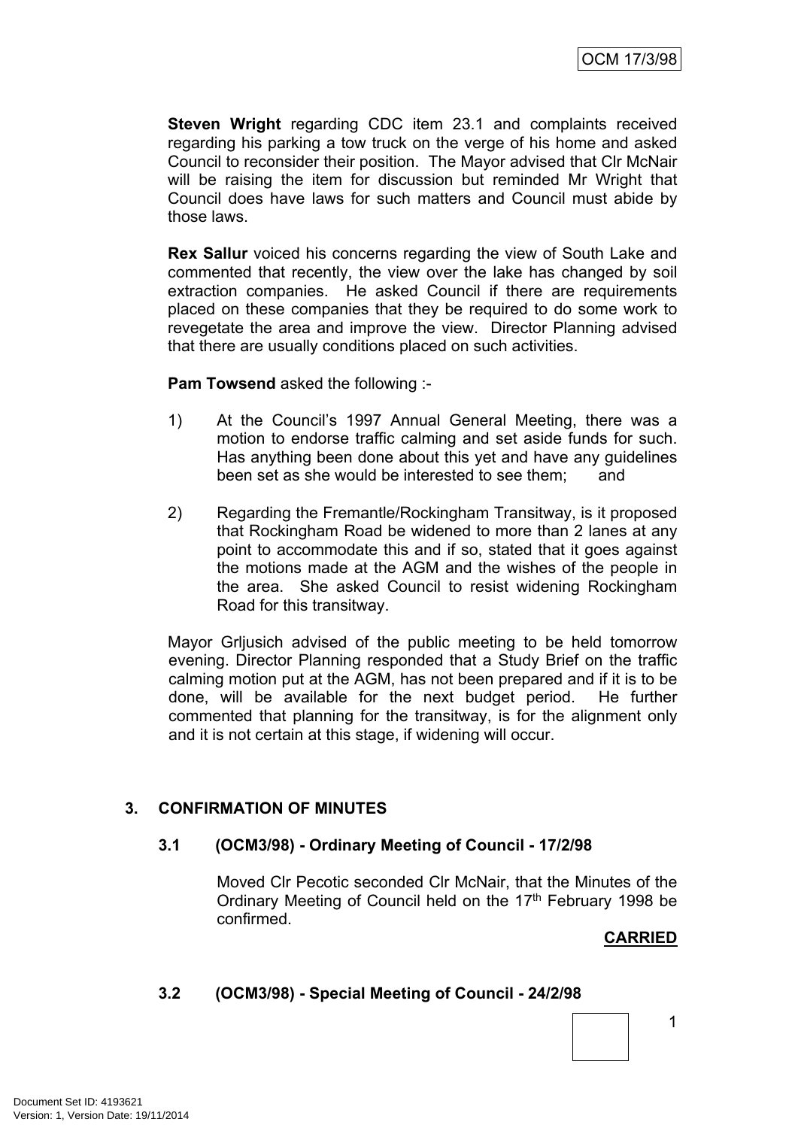**Steven Wright** regarding CDC item 23.1 and complaints received regarding his parking a tow truck on the verge of his home and asked Council to reconsider their position. The Mayor advised that Clr McNair will be raising the item for discussion but reminded Mr Wright that Council does have laws for such matters and Council must abide by those laws.

**Rex Sallur** voiced his concerns regarding the view of South Lake and commented that recently, the view over the lake has changed by soil extraction companies. He asked Council if there are requirements placed on these companies that they be required to do some work to revegetate the area and improve the view. Director Planning advised that there are usually conditions placed on such activities.

**Pam Towsend** asked the following :-

- 1) At the Council's 1997 Annual General Meeting, there was a motion to endorse traffic calming and set aside funds for such. Has anything been done about this yet and have any guidelines been set as she would be interested to see them; and
- 2) Regarding the Fremantle/Rockingham Transitway, is it proposed that Rockingham Road be widened to more than 2 lanes at any point to accommodate this and if so, stated that it goes against the motions made at the AGM and the wishes of the people in the area. She asked Council to resist widening Rockingham Road for this transitway.

Mayor Grljusich advised of the public meeting to be held tomorrow evening. Director Planning responded that a Study Brief on the traffic calming motion put at the AGM, has not been prepared and if it is to be done, will be available for the next budget period. He further commented that planning for the transitway, is for the alignment only and it is not certain at this stage, if widening will occur.

## **3. CONFIRMATION OF MINUTES**

## **3.1 (OCM3/98) - Ordinary Meeting of Council - 17/2/98**

Moved Clr Pecotic seconded Clr McNair, that the Minutes of the Ordinary Meeting of Council held on the 17<sup>th</sup> February 1998 be confirmed.

## **CARRIED**

1

## **3.2 (OCM3/98) - Special Meeting of Council - 24/2/98**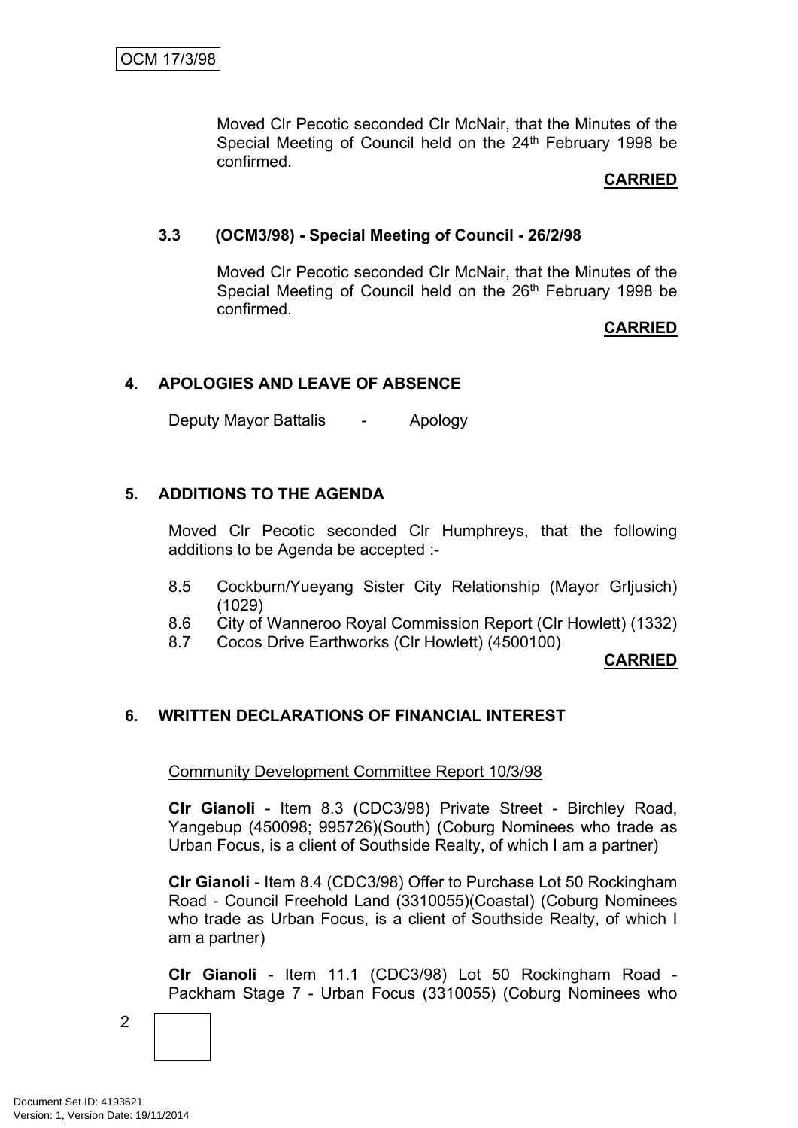Moved Clr Pecotic seconded Clr McNair, that the Minutes of the Special Meeting of Council held on the 24<sup>th</sup> February 1998 be confirmed.

## **CARRIED**

## **3.3 (OCM3/98) - Special Meeting of Council - 26/2/98**

Moved Clr Pecotic seconded Clr McNair, that the Minutes of the Special Meeting of Council held on the 26<sup>th</sup> February 1998 be confirmed.

## **CARRIED**

## **4. APOLOGIES AND LEAVE OF ABSENCE**

Deputy Mayor Battalis - Apology

## **5. ADDITIONS TO THE AGENDA**

Moved Clr Pecotic seconded Clr Humphreys, that the following additions to be Agenda be accepted :-

- 8.5 Cockburn/Yueyang Sister City Relationship (Mayor Grljusich) (1029)
- 8.6 City of Wanneroo Royal Commission Report (Clr Howlett) (1332)
- 8.7 Cocos Drive Earthworks (Clr Howlett) (4500100)

## **CARRIED**

## **6. WRITTEN DECLARATIONS OF FINANCIAL INTEREST**

Community Development Committee Report 10/3/98

**Clr Gianoli** - Item 8.3 (CDC3/98) Private Street - Birchley Road, Yangebup (450098; 995726)(South) (Coburg Nominees who trade as Urban Focus, is a client of Southside Realty, of which I am a partner)

**Clr Gianoli** - Item 8.4 (CDC3/98) Offer to Purchase Lot 50 Rockingham Road - Council Freehold Land (3310055)(Coastal) (Coburg Nominees who trade as Urban Focus, is a client of Southside Realty, of which I am a partner)

**Clr Gianoli** - Item 11.1 (CDC3/98) Lot 50 Rockingham Road - Packham Stage 7 - Urban Focus (3310055) (Coburg Nominees who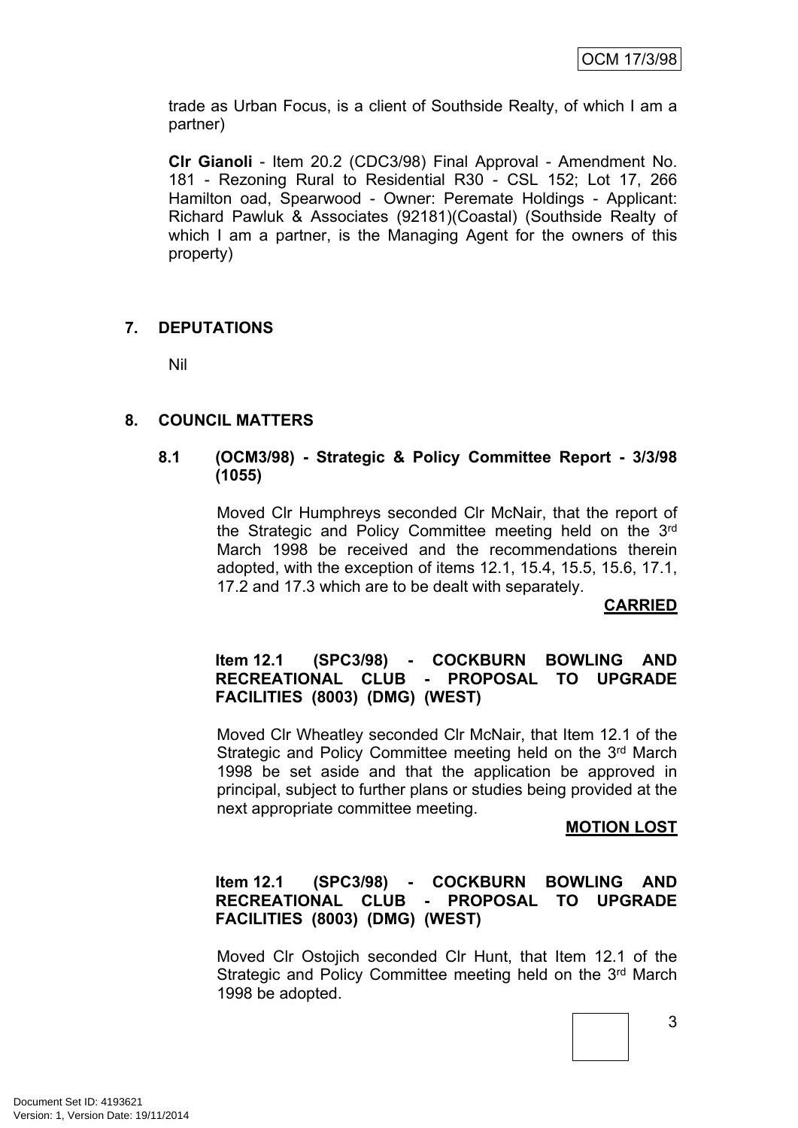trade as Urban Focus, is a client of Southside Realty, of which I am a partner)

**Clr Gianoli** - Item 20.2 (CDC3/98) Final Approval - Amendment No. 181 - Rezoning Rural to Residential R30 - CSL 152; Lot 17, 266 Hamilton oad, Spearwood - Owner: Peremate Holdings - Applicant: Richard Pawluk & Associates (92181)(Coastal) (Southside Realty of which I am a partner, is the Managing Agent for the owners of this property)

## **7. DEPUTATIONS**

Nil

## **8. COUNCIL MATTERS**

## **8.1 (OCM3/98) - Strategic & Policy Committee Report - 3/3/98 (1055)**

Moved Clr Humphreys seconded Clr McNair, that the report of the Strategic and Policy Committee meeting held on the 3<sup>rd</sup> March 1998 be received and the recommendations therein adopted, with the exception of items 12.1, 15.4, 15.5, 15.6, 17.1, 17.2 and 17.3 which are to be dealt with separately.

**CARRIED**

## **Item 12.1 (SPC3/98) - COCKBURN BOWLING AND RECREATIONAL CLUB - PROPOSAL TO UPGRADE FACILITIES (8003) (DMG) (WEST)**

Moved Clr Wheatley seconded Clr McNair, that Item 12.1 of the Strategic and Policy Committee meeting held on the 3rd March 1998 be set aside and that the application be approved in principal, subject to further plans or studies being provided at the next appropriate committee meeting.

## **MOTION LOST**

## **Item 12.1 (SPC3/98) - COCKBURN BOWLING AND RECREATIONAL CLUB - PROPOSAL TO UPGRADE FACILITIES (8003) (DMG) (WEST)**

Moved Clr Ostojich seconded Clr Hunt, that Item 12.1 of the Strategic and Policy Committee meeting held on the 3rd March 1998 be adopted.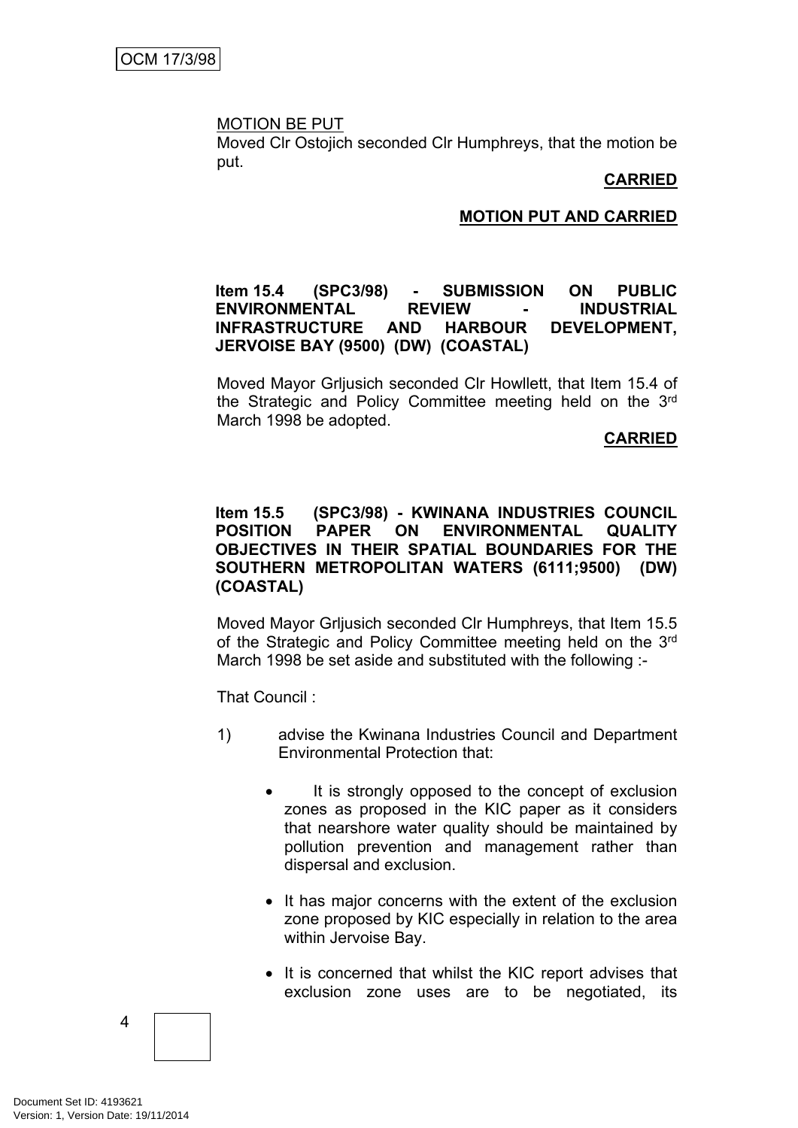#### MOTION BE PUT

Moved Clr Ostojich seconded Clr Humphreys, that the motion be put.

### **CARRIED**

### **MOTION PUT AND CARRIED**

## **Item 15.4 (SPC3/98) - SUBMISSION ON PUBLIC ENVIRONMENTAL REVIEW - INDUSTRIAL INFRASTRUCTURE AND HARBOUR DEVELOPMENT, JERVOISE BAY (9500) (DW) (COASTAL)**

Moved Mayor Grljusich seconded Clr Howllett, that Item 15.4 of the Strategic and Policy Committee meeting held on the 3<sup>rd</sup> March 1998 be adopted.

#### **CARRIED**

## **Item 15.5 (SPC3/98) - KWINANA INDUSTRIES COUNCIL POSITION PAPER ON ENVIRONMENTAL QUALITY OBJECTIVES IN THEIR SPATIAL BOUNDARIES FOR THE SOUTHERN METROPOLITAN WATERS (6111;9500) (DW) (COASTAL)**

Moved Mayor Grljusich seconded Clr Humphreys, that Item 15.5 of the Strategic and Policy Committee meeting held on the 3<sup>rd</sup> March 1998 be set aside and substituted with the following :-

That Council :

- 1) advise the Kwinana Industries Council and Department Environmental Protection that:
	- It is strongly opposed to the concept of exclusion zones as proposed in the KIC paper as it considers that nearshore water quality should be maintained by pollution prevention and management rather than dispersal and exclusion.
	- It has major concerns with the extent of the exclusion zone proposed by KIC especially in relation to the area within Jervoise Bay.
	- It is concerned that whilst the KIC report advises that exclusion zone uses are to be negotiated, its

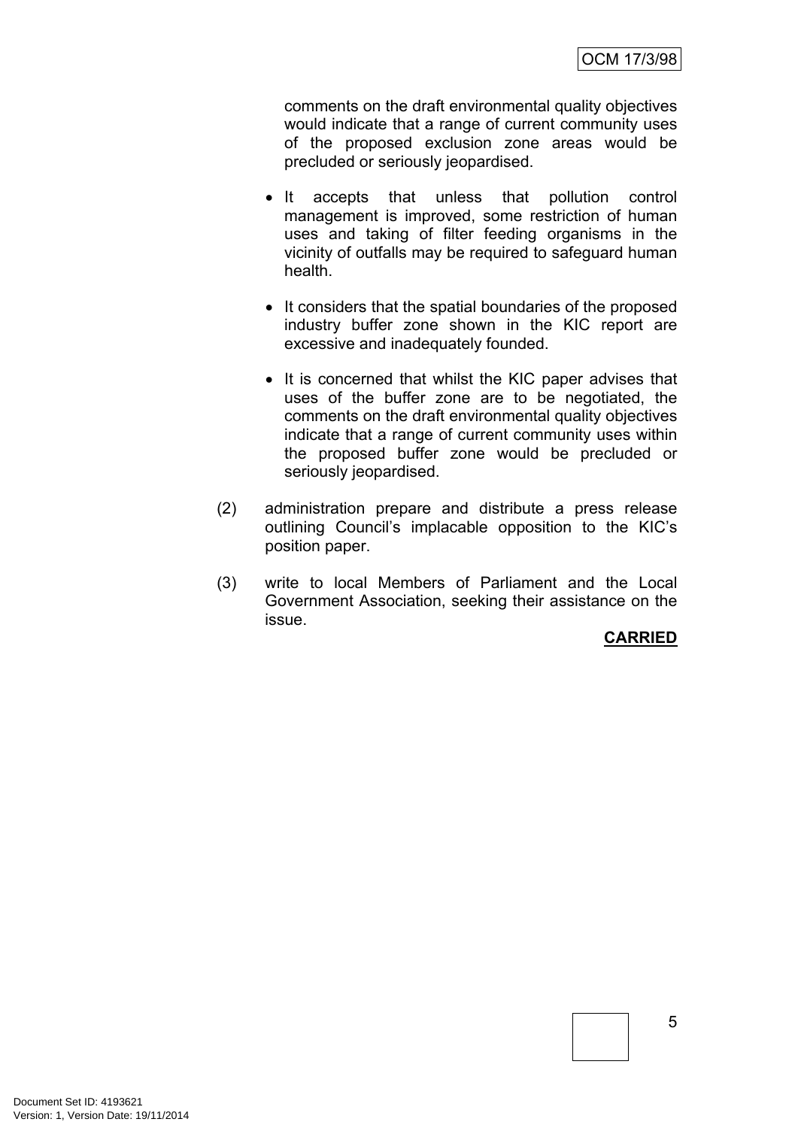comments on the draft environmental quality objectives would indicate that a range of current community uses of the proposed exclusion zone areas would be precluded or seriously jeopardised.

- It accepts that unless that pollution control management is improved, some restriction of human uses and taking of filter feeding organisms in the vicinity of outfalls may be required to safeguard human health.
- It considers that the spatial boundaries of the proposed industry buffer zone shown in the KIC report are excessive and inadequately founded.
- It is concerned that whilst the KIC paper advises that uses of the buffer zone are to be negotiated, the comments on the draft environmental quality objectives indicate that a range of current community uses within the proposed buffer zone would be precluded or seriously jeopardised.
- (2) administration prepare and distribute a press release outlining Council's implacable opposition to the KIC's position paper.
- (3) write to local Members of Parliament and the Local Government Association, seeking their assistance on the issue.

## **CARRIED**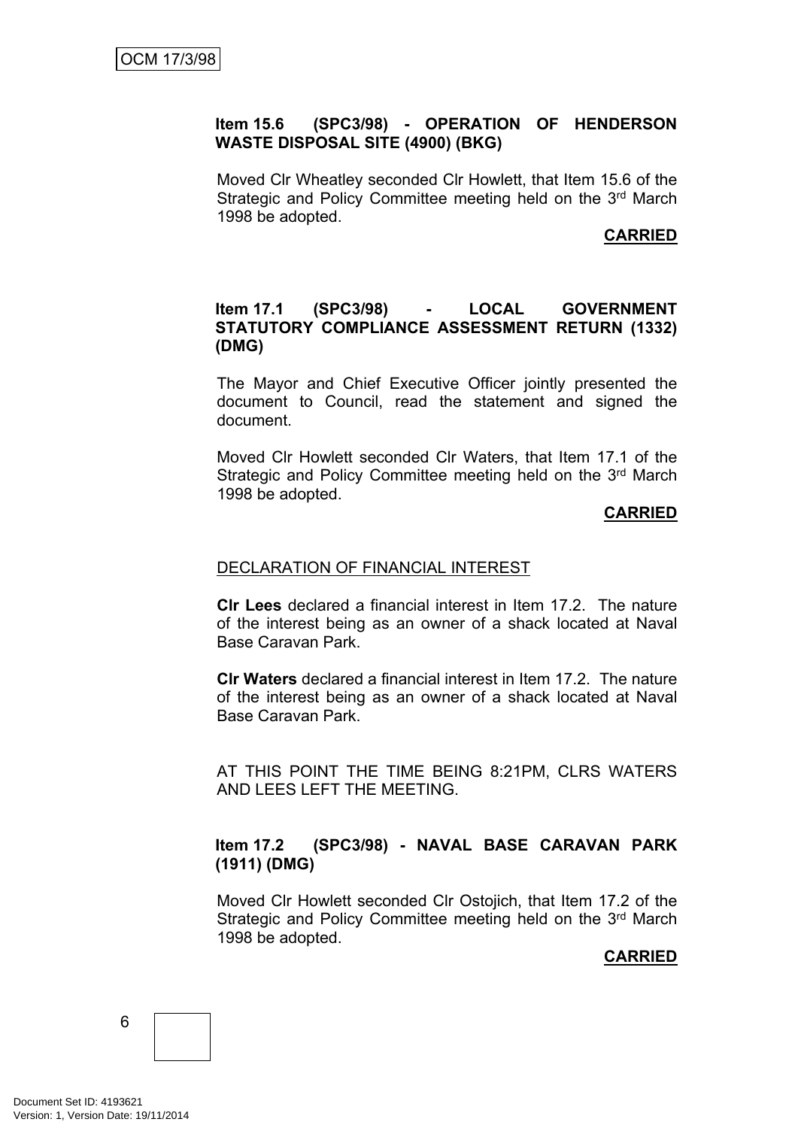## **Item 15.6 (SPC3/98) - OPERATION OF HENDERSON WASTE DISPOSAL SITE (4900) (BKG)**

Moved Clr Wheatley seconded Clr Howlett, that Item 15.6 of the Strategic and Policy Committee meeting held on the 3rd March 1998 be adopted.

## **CARRIED**

## **Item 17.1 (SPC3/98) - LOCAL GOVERNMENT STATUTORY COMPLIANCE ASSESSMENT RETURN (1332) (DMG)**

The Mayor and Chief Executive Officer jointly presented the document to Council, read the statement and signed the document.

Moved Clr Howlett seconded Clr Waters, that Item 17.1 of the Strategic and Policy Committee meeting held on the 3rd March 1998 be adopted.

## **CARRIED**

## DECLARATION OF FINANCIAL INTEREST

**Clr Lees** declared a financial interest in Item 17.2. The nature of the interest being as an owner of a shack located at Naval Base Caravan Park.

**Clr Waters** declared a financial interest in Item 17.2. The nature of the interest being as an owner of a shack located at Naval Base Caravan Park.

AT THIS POINT THE TIME BEING 8:21PM, CLRS WATERS AND LEES LEFT THE MEETING.

## **Item 17.2 (SPC3/98) - NAVAL BASE CARAVAN PARK (1911) (DMG)**

Moved Clr Howlett seconded Clr Ostojich, that Item 17.2 of the Strategic and Policy Committee meeting held on the 3rd March 1998 be adopted.

## **CARRIED**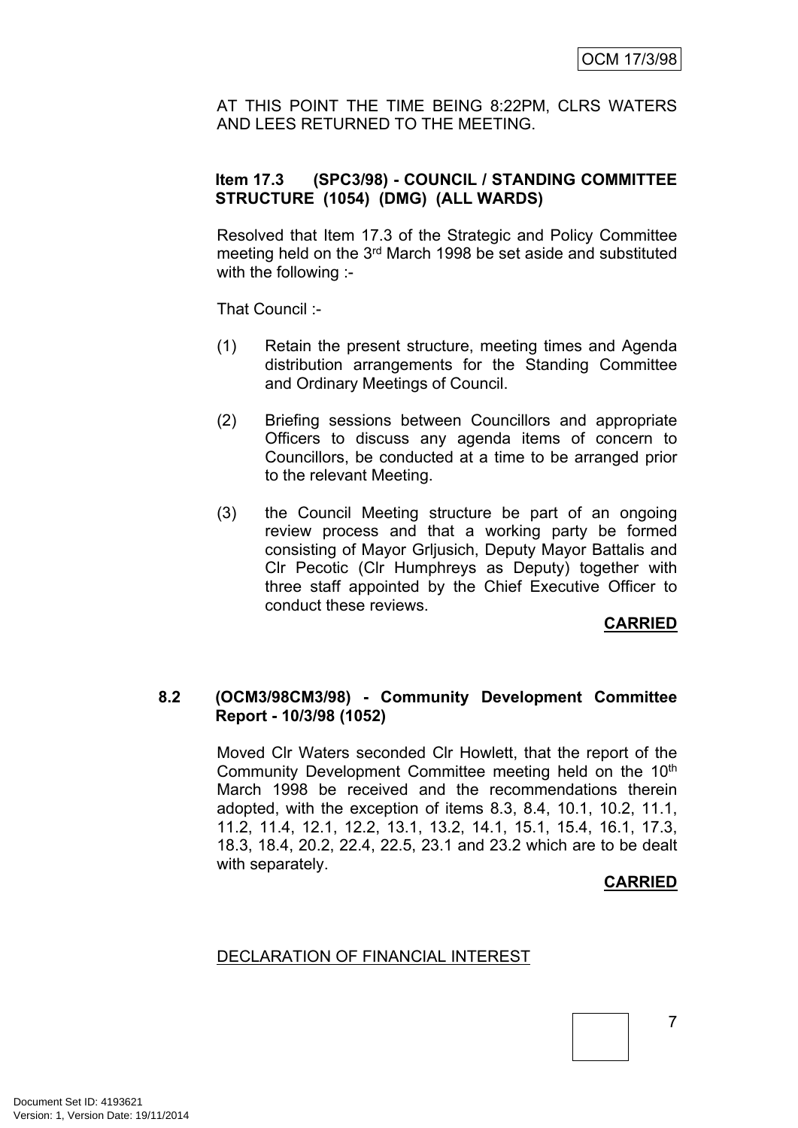AT THIS POINT THE TIME BEING 8:22PM, CLRS WATERS AND LEES RETURNED TO THE MEETING.

## **Item 17.3 (SPC3/98) - COUNCIL / STANDING COMMITTEE STRUCTURE (1054) (DMG) (ALL WARDS)**

Resolved that Item 17.3 of the Strategic and Policy Committee meeting held on the 3<sup>rd</sup> March 1998 be set aside and substituted with the following :-

That Council :-

- (1) Retain the present structure, meeting times and Agenda distribution arrangements for the Standing Committee and Ordinary Meetings of Council.
- (2) Briefing sessions between Councillors and appropriate Officers to discuss any agenda items of concern to Councillors, be conducted at a time to be arranged prior to the relevant Meeting.
- (3) the Council Meeting structure be part of an ongoing review process and that a working party be formed consisting of Mayor Grljusich, Deputy Mayor Battalis and Clr Pecotic (Clr Humphreys as Deputy) together with three staff appointed by the Chief Executive Officer to conduct these reviews.

## **CARRIED**

## **8.2 (OCM3/98CM3/98) - Community Development Committee Report - 10/3/98 (1052)**

Moved Clr Waters seconded Clr Howlett, that the report of the Community Development Committee meeting held on the 10<sup>th</sup> March 1998 be received and the recommendations therein adopted, with the exception of items 8.3, 8.4, 10.1, 10.2, 11.1, 11.2, 11.4, 12.1, 12.2, 13.1, 13.2, 14.1, 15.1, 15.4, 16.1, 17.3, 18.3, 18.4, 20.2, 22.4, 22.5, 23.1 and 23.2 which are to be dealt with separately.

## **CARRIED**

## DECLARATION OF FINANCIAL INTEREST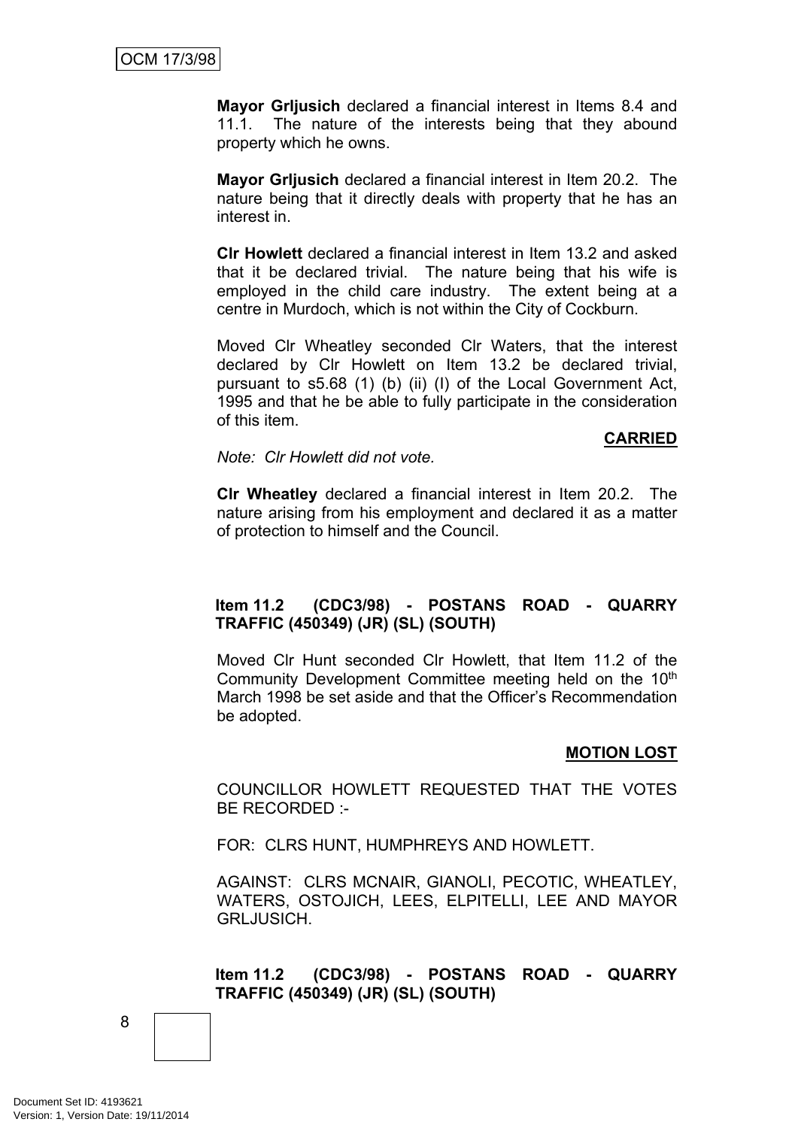**Mayor Grljusich** declared a financial interest in Items 8.4 and 11.1. The nature of the interests being that they abound property which he owns.

**Mayor Grljusich** declared a financial interest in Item 20.2. The nature being that it directly deals with property that he has an interest in.

**Clr Howlett** declared a financial interest in Item 13.2 and asked that it be declared trivial. The nature being that his wife is employed in the child care industry. The extent being at a centre in Murdoch, which is not within the City of Cockburn.

Moved Clr Wheatley seconded Clr Waters, that the interest declared by Clr Howlett on Item 13.2 be declared trivial, pursuant to s5.68 (1) (b) (ii) (I) of the Local Government Act, 1995 and that he be able to fully participate in the consideration of this item.

### **CARRIED**

*Note: Clr Howlett did not vote.*

**Clr Wheatley** declared a financial interest in Item 20.2. The nature arising from his employment and declared it as a matter of protection to himself and the Council.

## **Item 11.2 (CDC3/98) - POSTANS ROAD - QUARRY TRAFFIC (450349) (JR) (SL) (SOUTH)**

Moved Clr Hunt seconded Clr Howlett, that Item 11.2 of the Community Development Committee meeting held on the 10<sup>th</sup> March 1998 be set aside and that the Officer's Recommendation be adopted.

## **MOTION LOST**

COUNCILLOR HOWLETT REQUESTED THAT THE VOTES BE RECORDED :-

FOR: CLRS HUNT, HUMPHREYS AND HOWLETT.

AGAINST: CLRS MCNAIR, GIANOLI, PECOTIC, WHEATLEY, WATERS, OSTOJICH, LEES, ELPITELLI, LEE AND MAYOR GRLJUSICH.

## **Item 11.2 (CDC3/98) - POSTANS ROAD - QUARRY TRAFFIC (450349) (JR) (SL) (SOUTH)**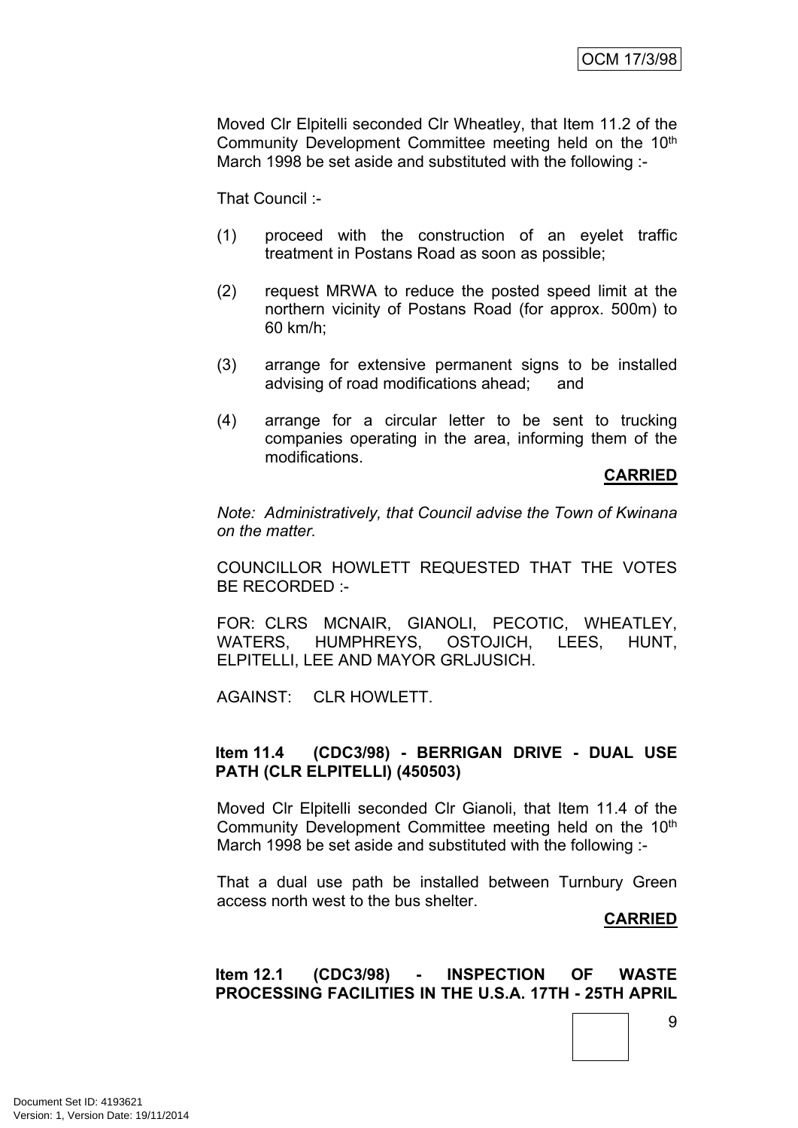Moved Clr Elpitelli seconded Clr Wheatley, that Item 11.2 of the Community Development Committee meeting held on the 10<sup>th</sup> March 1998 be set aside and substituted with the following :-

That Council :-

- (1) proceed with the construction of an eyelet traffic treatment in Postans Road as soon as possible;
- (2) request MRWA to reduce the posted speed limit at the northern vicinity of Postans Road (for approx. 500m) to 60 km/h;
- (3) arrange for extensive permanent signs to be installed advising of road modifications ahead; and
- (4) arrange for a circular letter to be sent to trucking companies operating in the area, informing them of the modifications.

## **CARRIED**

*Note: Administratively, that Council advise the Town of Kwinana on the matter.*

COUNCILLOR HOWLETT REQUESTED THAT THE VOTES BE RECORDED :-

FOR: CLRS MCNAIR, GIANOLI, PECOTIC, WHEATLEY, WATERS, HUMPHREYS, OSTOJICH, LEES, HUNT, ELPITELLI, LEE AND MAYOR GRLJUSICH.

AGAINST: CLR HOWLETT.

## **Item 11.4 (CDC3/98) - BERRIGAN DRIVE - DUAL USE PATH (CLR ELPITELLI) (450503)**

Moved Clr Elpitelli seconded Clr Gianoli, that Item 11.4 of the Community Development Committee meeting held on the 10<sup>th</sup> March 1998 be set aside and substituted with the following :-

That a dual use path be installed between Turnbury Green access north west to the bus shelter.

#### **CARRIED**

9

## **Item 12.1 (CDC3/98) - INSPECTION OF WASTE PROCESSING FACILITIES IN THE U.S.A. 17TH - 25TH APRIL**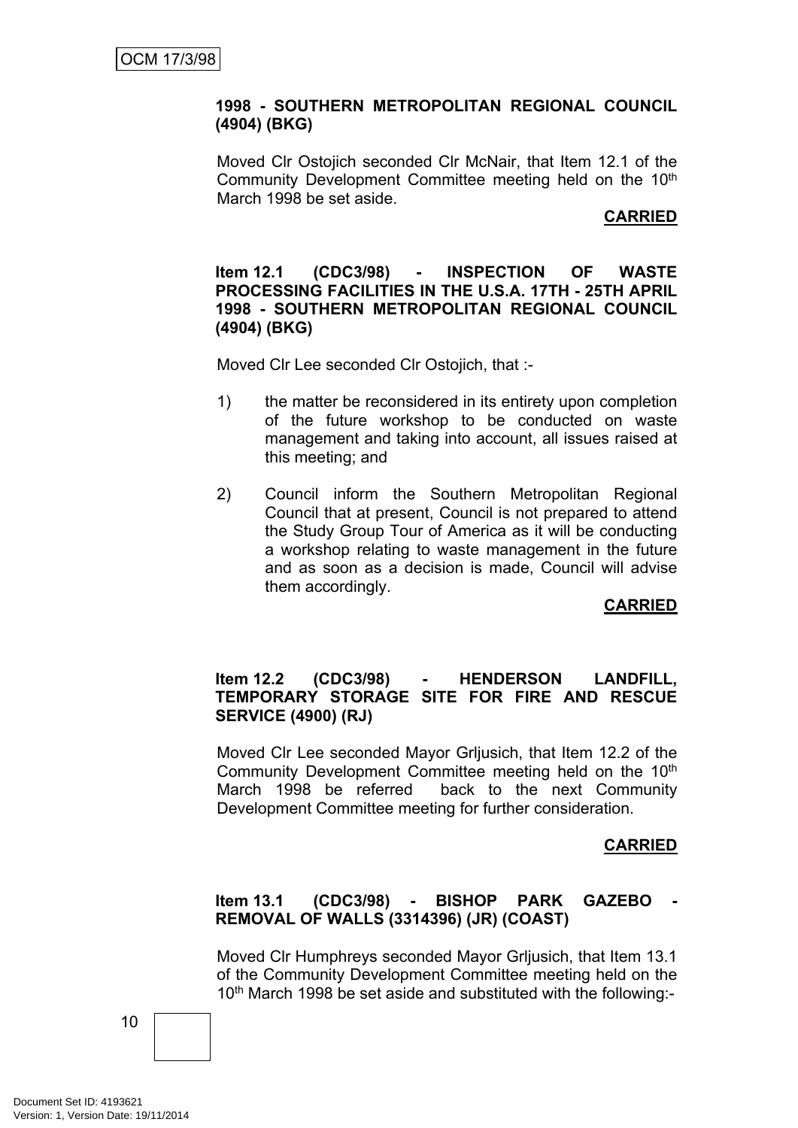## **1998 - SOUTHERN METROPOLITAN REGIONAL COUNCIL (4904) (BKG)**

Moved Clr Ostojich seconded Clr McNair, that Item 12.1 of the Community Development Committee meeting held on the 10th March 1998 be set aside.

## **CARRIED**

### **Item 12.1 (CDC3/98) - INSPECTION OF WASTE PROCESSING FACILITIES IN THE U.S.A. 17TH - 25TH APRIL 1998 - SOUTHERN METROPOLITAN REGIONAL COUNCIL (4904) (BKG)**

Moved Clr Lee seconded Clr Ostojich, that :-

- 1) the matter be reconsidered in its entirety upon completion of the future workshop to be conducted on waste management and taking into account, all issues raised at this meeting; and
- 2) Council inform the Southern Metropolitan Regional Council that at present, Council is not prepared to attend the Study Group Tour of America as it will be conducting a workshop relating to waste management in the future and as soon as a decision is made, Council will advise them accordingly.

## **CARRIED**

## **Item 12.2 (CDC3/98) - HENDERSON LANDFILL, TEMPORARY STORAGE SITE FOR FIRE AND RESCUE SERVICE (4900) (RJ)**

Moved Clr Lee seconded Mayor Grljusich, that Item 12.2 of the Community Development Committee meeting held on the 10<sup>th</sup> March 1998 be referred back to the next Community Development Committee meeting for further consideration.

## **CARRIED**

## **Item 13.1 (CDC3/98) - BISHOP PARK GAZEBO - REMOVAL OF WALLS (3314396) (JR) (COAST)**

Moved Clr Humphreys seconded Mayor Grljusich, that Item 13.1 of the Community Development Committee meeting held on the 10<sup>th</sup> March 1998 be set aside and substituted with the following:-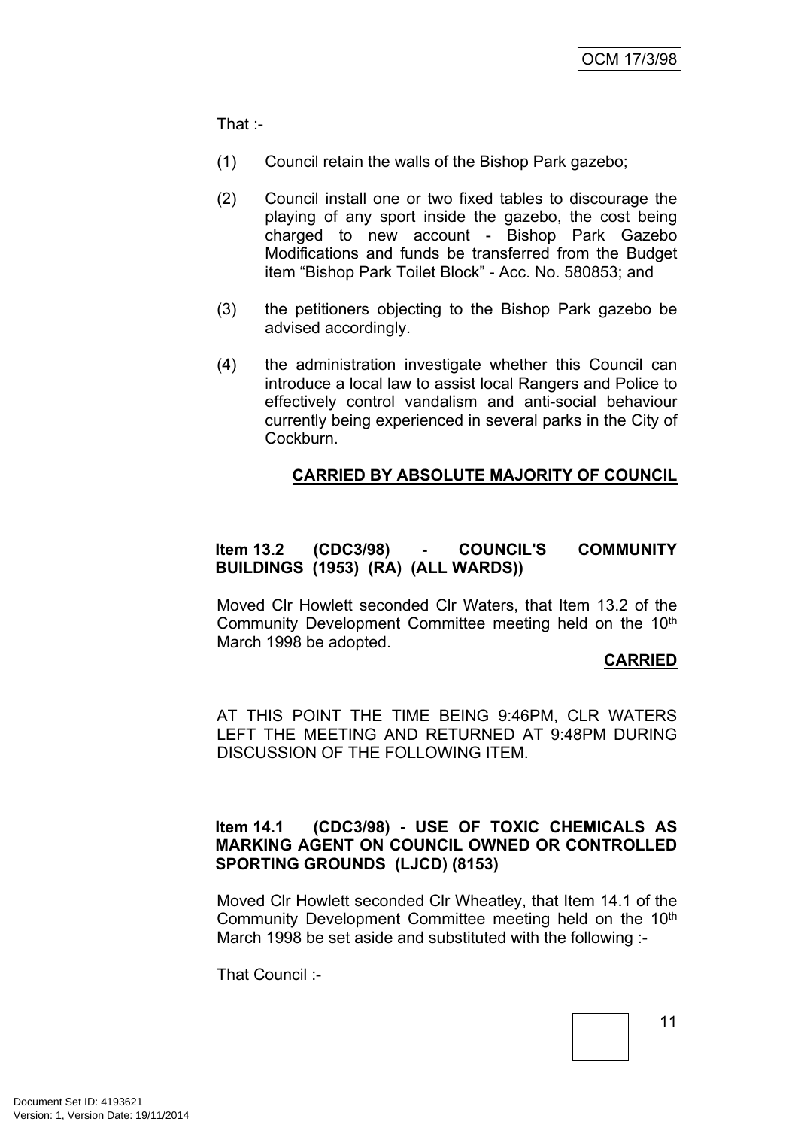That :-

- (1) Council retain the walls of the Bishop Park gazebo;
- (2) Council install one or two fixed tables to discourage the playing of any sport inside the gazebo, the cost being charged to new account - Bishop Park Gazebo Modifications and funds be transferred from the Budget item "Bishop Park Toilet Block" - Acc. No. 580853; and
- (3) the petitioners objecting to the Bishop Park gazebo be advised accordingly.
- (4) the administration investigate whether this Council can introduce a local law to assist local Rangers and Police to effectively control vandalism and anti-social behaviour currently being experienced in several parks in the City of Cockburn.

## **CARRIED BY ABSOLUTE MAJORITY OF COUNCIL**

## **Item 13.2 (CDC3/98) - COUNCIL'S COMMUNITY BUILDINGS (1953) (RA) (ALL WARDS))**

Moved Clr Howlett seconded Clr Waters, that Item 13.2 of the Community Development Committee meeting held on the 10<sup>th</sup> March 1998 be adopted.

## **CARRIED**

AT THIS POINT THE TIME BEING 9:46PM, CLR WATERS LEFT THE MEETING AND RETURNED AT 9:48PM DURING DISCUSSION OF THE FOLLOWING ITEM.

## **Item 14.1 (CDC3/98) - USE OF TOXIC CHEMICALS AS MARKING AGENT ON COUNCIL OWNED OR CONTROLLED SPORTING GROUNDS (LJCD) (8153)**

Moved Clr Howlett seconded Clr Wheatley, that Item 14.1 of the Community Development Committee meeting held on the 10<sup>th</sup> March 1998 be set aside and substituted with the following :-

That Council :-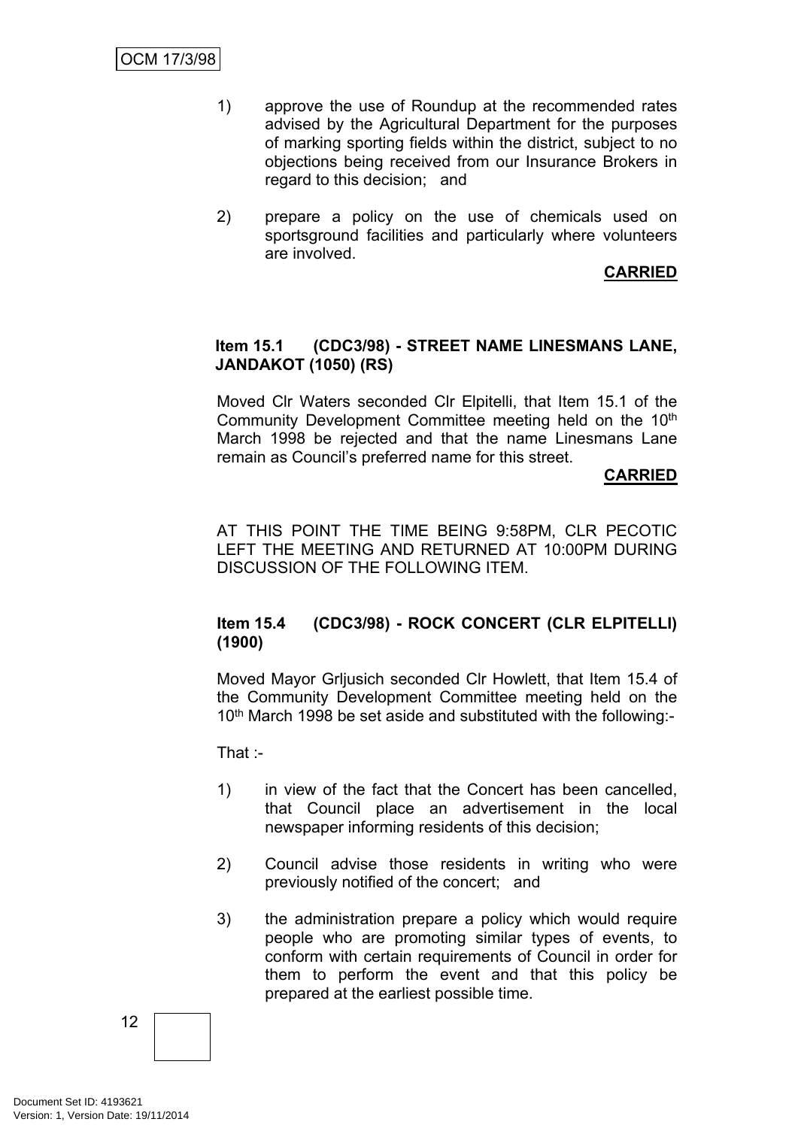- 1) approve the use of Roundup at the recommended rates advised by the Agricultural Department for the purposes of marking sporting fields within the district, subject to no objections being received from our Insurance Brokers in regard to this decision; and
- 2) prepare a policy on the use of chemicals used on sportsground facilities and particularly where volunteers are involved.

**CARRIED**

## **Item 15.1 (CDC3/98) - STREET NAME LINESMANS LANE, JANDAKOT (1050) (RS)**

Moved Clr Waters seconded Clr Elpitelli, that Item 15.1 of the Community Development Committee meeting held on the 10<sup>th</sup> March 1998 be rejected and that the name Linesmans Lane remain as Council's preferred name for this street.

## **CARRIED**

AT THIS POINT THE TIME BEING 9:58PM, CLR PECOTIC LEFT THE MEETING AND RETURNED AT 10:00PM DURING DISCUSSION OF THE FOLLOWING ITEM.

## **Item 15.4 (CDC3/98) - ROCK CONCERT (CLR ELPITELLI) (1900)**

Moved Mayor Grljusich seconded Clr Howlett, that Item 15.4 of the Community Development Committee meeting held on the 10<sup>th</sup> March 1998 be set aside and substituted with the following:-

That :-

- 1) in view of the fact that the Concert has been cancelled, that Council place an advertisement in the local newspaper informing residents of this decision;
- 2) Council advise those residents in writing who were previously notified of the concert; and
- 3) the administration prepare a policy which would require people who are promoting similar types of events, to conform with certain requirements of Council in order for them to perform the event and that this policy be prepared at the earliest possible time.

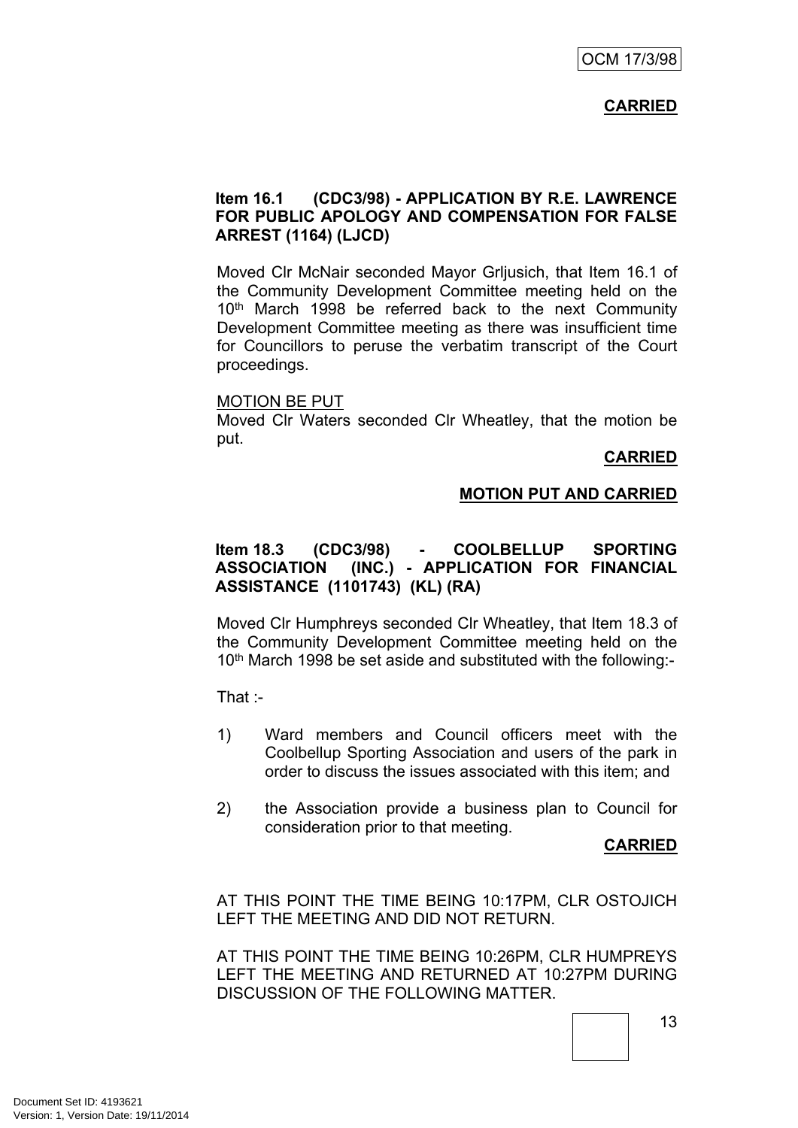## **CARRIED**

## **Item 16.1 (CDC3/98) - APPLICATION BY R.E. LAWRENCE FOR PUBLIC APOLOGY AND COMPENSATION FOR FALSE ARREST (1164) (LJCD)**

Moved Clr McNair seconded Mayor Grljusich, that Item 16.1 of the Community Development Committee meeting held on the 10<sup>th</sup> March 1998 be referred back to the next Community Development Committee meeting as there was insufficient time for Councillors to peruse the verbatim transcript of the Court proceedings.

#### MOTION BE PUT

Moved Clr Waters seconded Clr Wheatley, that the motion be put.

## **CARRIED**

## **MOTION PUT AND CARRIED**

## **Item 18.3 (CDC3/98) - COOLBELLUP SPORTING ASSOCIATION (INC.) - APPLICATION FOR FINANCIAL ASSISTANCE (1101743) (KL) (RA)**

Moved Clr Humphreys seconded Clr Wheatley, that Item 18.3 of the Community Development Committee meeting held on the 10<sup>th</sup> March 1998 be set aside and substituted with the following:-

That :-

- 1) Ward members and Council officers meet with the Coolbellup Sporting Association and users of the park in order to discuss the issues associated with this item; and
- 2) the Association provide a business plan to Council for consideration prior to that meeting.

## **CARRIED**

AT THIS POINT THE TIME BEING 10:17PM, CLR OSTOJICH LEFT THE MEETING AND DID NOT RETURN.

AT THIS POINT THE TIME BEING 10:26PM, CLR HUMPREYS LEFT THE MEETING AND RETURNED AT 10:27PM DURING DISCUSSION OF THE FOLLOWING MATTER.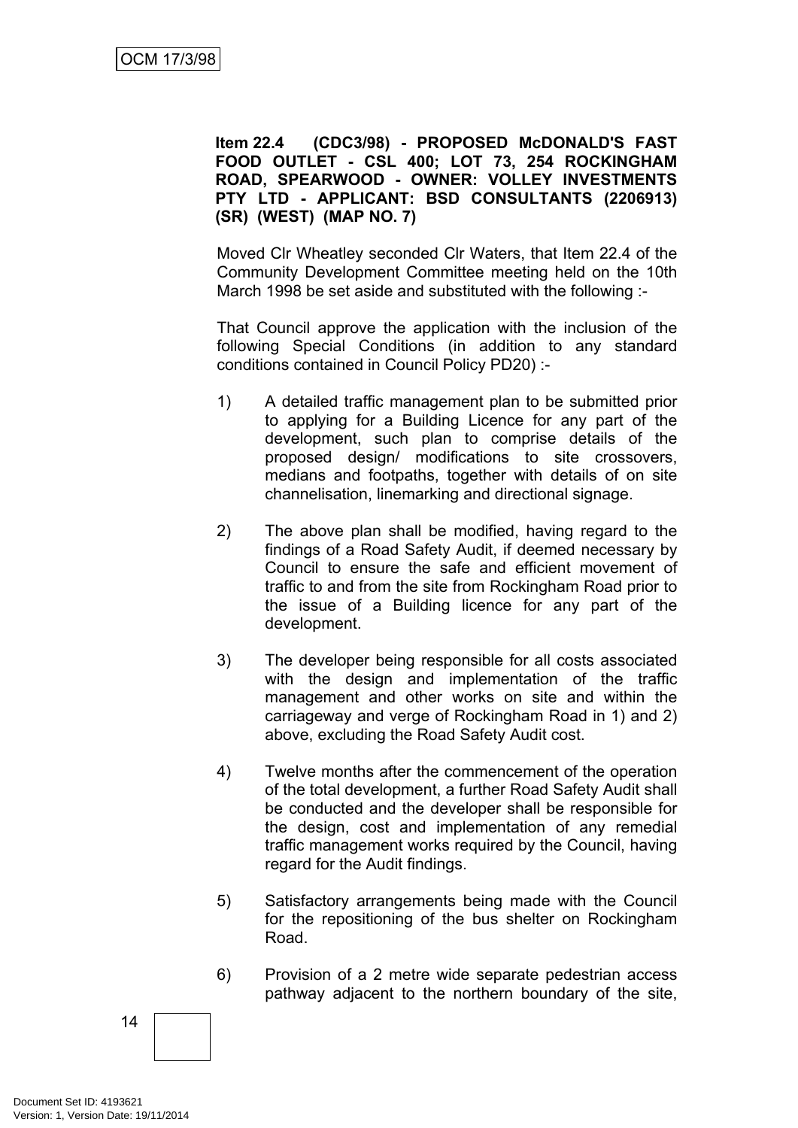**Item 22.4 (CDC3/98) - PROPOSED McDONALD'S FAST FOOD OUTLET - CSL 400; LOT 73, 254 ROCKINGHAM ROAD, SPEARWOOD - OWNER: VOLLEY INVESTMENTS PTY LTD - APPLICANT: BSD CONSULTANTS (2206913) (SR) (WEST) (MAP NO. 7)**

Moved Clr Wheatley seconded Clr Waters, that Item 22.4 of the Community Development Committee meeting held on the 10th March 1998 be set aside and substituted with the following :-

That Council approve the application with the inclusion of the following Special Conditions (in addition to any standard conditions contained in Council Policy PD20) :-

- 1) A detailed traffic management plan to be submitted prior to applying for a Building Licence for any part of the development, such plan to comprise details of the proposed design/ modifications to site crossovers, medians and footpaths, together with details of on site channelisation, linemarking and directional signage.
- 2) The above plan shall be modified, having regard to the findings of a Road Safety Audit, if deemed necessary by Council to ensure the safe and efficient movement of traffic to and from the site from Rockingham Road prior to the issue of a Building licence for any part of the development.
- 3) The developer being responsible for all costs associated with the design and implementation of the traffic management and other works on site and within the carriageway and verge of Rockingham Road in 1) and 2) above, excluding the Road Safety Audit cost.
- 4) Twelve months after the commencement of the operation of the total development, a further Road Safety Audit shall be conducted and the developer shall be responsible for the design, cost and implementation of any remedial traffic management works required by the Council, having regard for the Audit findings.
- 5) Satisfactory arrangements being made with the Council for the repositioning of the bus shelter on Rockingham Road.
- 6) Provision of a 2 metre wide separate pedestrian access pathway adjacent to the northern boundary of the site,

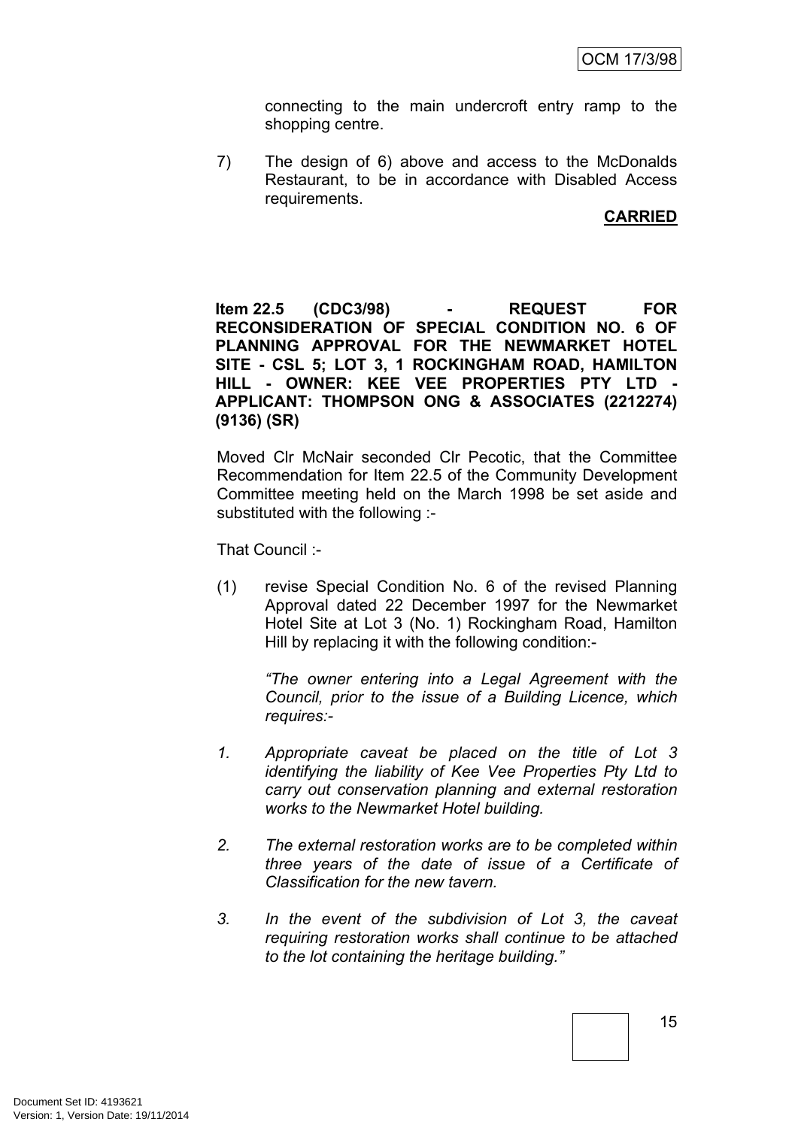connecting to the main undercroft entry ramp to the shopping centre.

7) The design of 6) above and access to the McDonalds Restaurant, to be in accordance with Disabled Access requirements.

## **CARRIED**

**Item 22.5 (CDC3/98) - REQUEST FOR RECONSIDERATION OF SPECIAL CONDITION NO. 6 OF PLANNING APPROVAL FOR THE NEWMARKET HOTEL SITE - CSL 5; LOT 3, 1 ROCKINGHAM ROAD, HAMILTON HILL - OWNER: KEE VEE PROPERTIES PTY LTD - APPLICANT: THOMPSON ONG & ASSOCIATES (2212274) (9136) (SR)**

Moved Clr McNair seconded Clr Pecotic, that the Committee Recommendation for Item 22.5 of the Community Development Committee meeting held on the March 1998 be set aside and substituted with the following :-

That Council :-

(1) revise Special Condition No. 6 of the revised Planning Approval dated 22 December 1997 for the Newmarket Hotel Site at Lot 3 (No. 1) Rockingham Road, Hamilton Hill by replacing it with the following condition:-

*"The owner entering into a Legal Agreement with the Council, prior to the issue of a Building Licence, which requires:-*

- *1. Appropriate caveat be placed on the title of Lot 3 identifying the liability of Kee Vee Properties Pty Ltd to carry out conservation planning and external restoration works to the Newmarket Hotel building.*
- *2. The external restoration works are to be completed within three years of the date of issue of a Certificate of Classification for the new tavern.*
- *3. In the event of the subdivision of Lot 3, the caveat requiring restoration works shall continue to be attached to the lot containing the heritage building."*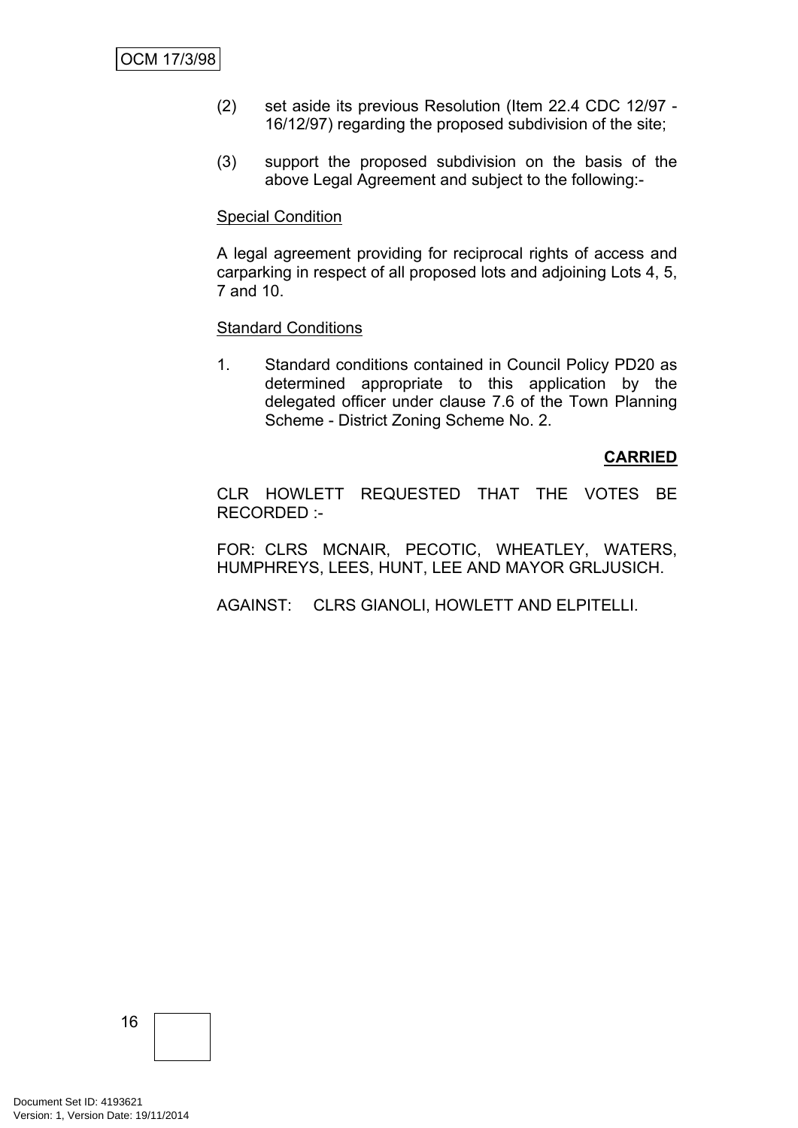- (2) set aside its previous Resolution (Item 22.4 CDC 12/97 16/12/97) regarding the proposed subdivision of the site;
- (3) support the proposed subdivision on the basis of the above Legal Agreement and subject to the following:-

### Special Condition

A legal agreement providing for reciprocal rights of access and carparking in respect of all proposed lots and adjoining Lots 4, 5, 7 and 10.

### Standard Conditions

1. Standard conditions contained in Council Policy PD20 as determined appropriate to this application by the delegated officer under clause 7.6 of the Town Planning Scheme - District Zoning Scheme No. 2.

## **CARRIED**

CLR HOWLETT REQUESTED THAT THE VOTES BE RECORDED :-

FOR: CLRS MCNAIR, PECOTIC, WHEATLEY, WATERS, HUMPHREYS, LEES, HUNT, LEE AND MAYOR GRLJUSICH.

AGAINST: CLRS GIANOLI, HOWLETT AND ELPITELLI.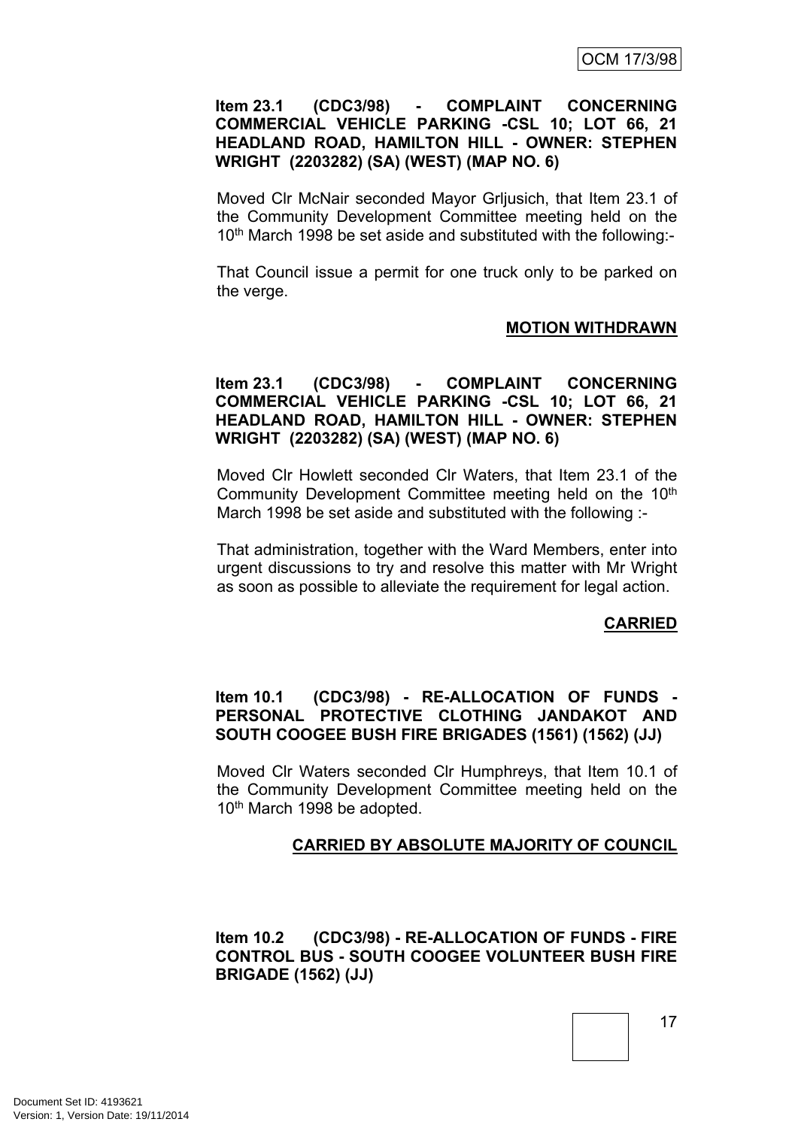## **Item 23.1 (CDC3/98) - COMPLAINT CONCERNING COMMERCIAL VEHICLE PARKING -CSL 10; LOT 66, 21 HEADLAND ROAD, HAMILTON HILL - OWNER: STEPHEN WRIGHT (2203282) (SA) (WEST) (MAP NO. 6)**

Moved Clr McNair seconded Mayor Grljusich, that Item 23.1 of the Community Development Committee meeting held on the 10<sup>th</sup> March 1998 be set aside and substituted with the following:-

That Council issue a permit for one truck only to be parked on the verge.

## **MOTION WITHDRAWN**

## **Item 23.1 (CDC3/98) - COMPLAINT CONCERNING COMMERCIAL VEHICLE PARKING -CSL 10; LOT 66, 21 HEADLAND ROAD, HAMILTON HILL - OWNER: STEPHEN WRIGHT (2203282) (SA) (WEST) (MAP NO. 6)**

Moved Clr Howlett seconded Clr Waters, that Item 23.1 of the Community Development Committee meeting held on the 10<sup>th</sup> March 1998 be set aside and substituted with the following :-

That administration, together with the Ward Members, enter into urgent discussions to try and resolve this matter with Mr Wright as soon as possible to alleviate the requirement for legal action.

## **CARRIED**

## **Item 10.1 (CDC3/98) - RE-ALLOCATION OF FUNDS - PERSONAL PROTECTIVE CLOTHING JANDAKOT AND SOUTH COOGEE BUSH FIRE BRIGADES (1561) (1562) (JJ)**

Moved Clr Waters seconded Clr Humphreys, that Item 10.1 of the Community Development Committee meeting held on the 10th March 1998 be adopted.

## **CARRIED BY ABSOLUTE MAJORITY OF COUNCIL**

**Item 10.2 (CDC3/98) - RE-ALLOCATION OF FUNDS - FIRE CONTROL BUS - SOUTH COOGEE VOLUNTEER BUSH FIRE BRIGADE (1562) (JJ)**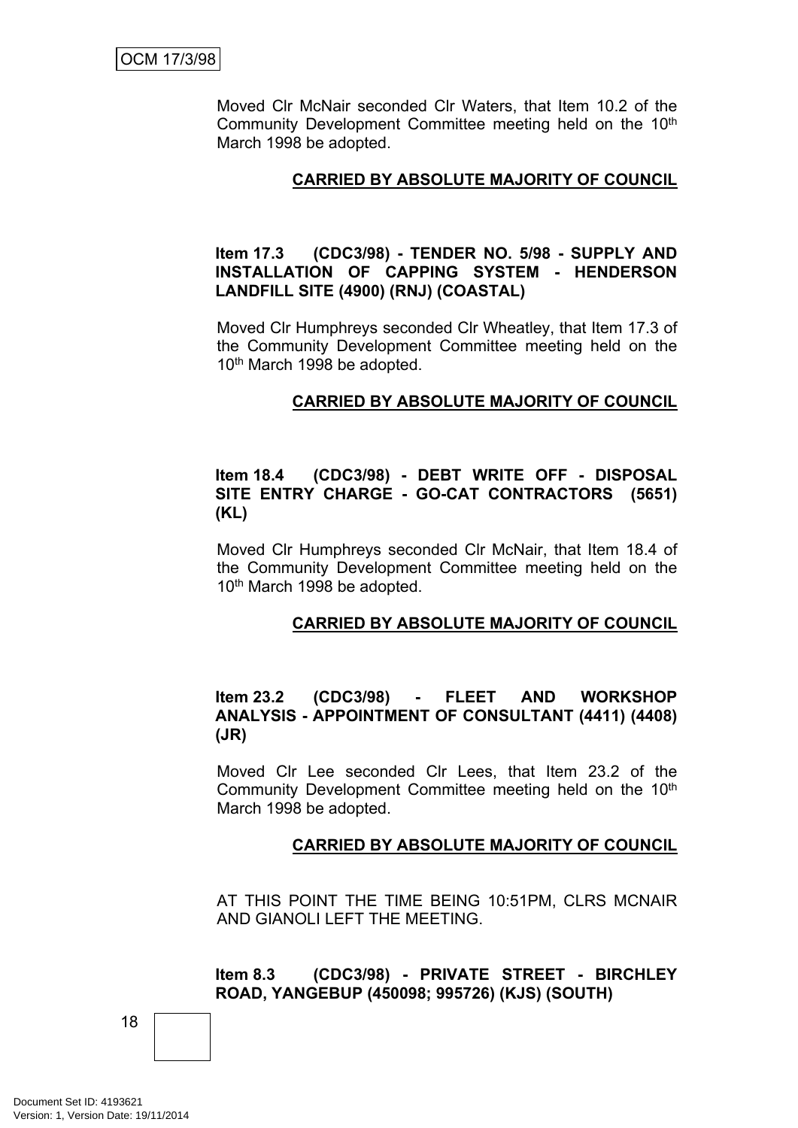Moved Clr McNair seconded Clr Waters, that Item 10.2 of the Community Development Committee meeting held on the 10<sup>th</sup> March 1998 be adopted.

## **CARRIED BY ABSOLUTE MAJORITY OF COUNCIL**

## **Item 17.3 (CDC3/98) - TENDER NO. 5/98 - SUPPLY AND INSTALLATION OF CAPPING SYSTEM - HENDERSON LANDFILL SITE (4900) (RNJ) (COASTAL)**

Moved Clr Humphreys seconded Clr Wheatley, that Item 17.3 of the Community Development Committee meeting held on the 10th March 1998 be adopted.

## **CARRIED BY ABSOLUTE MAJORITY OF COUNCIL**

## **Item 18.4 (CDC3/98) - DEBT WRITE OFF - DISPOSAL SITE ENTRY CHARGE - GO-CAT CONTRACTORS (5651) (KL)**

Moved Clr Humphreys seconded Clr McNair, that Item 18.4 of the Community Development Committee meeting held on the 10th March 1998 be adopted.

## **CARRIED BY ABSOLUTE MAJORITY OF COUNCIL**

## **Item 23.2 (CDC3/98) - FLEET AND WORKSHOP ANALYSIS - APPOINTMENT OF CONSULTANT (4411) (4408) (JR)**

Moved Clr Lee seconded Clr Lees, that Item 23.2 of the Community Development Committee meeting held on the 10<sup>th</sup> March 1998 be adopted.

## **CARRIED BY ABSOLUTE MAJORITY OF COUNCIL**

AT THIS POINT THE TIME BEING 10:51PM, CLRS MCNAIR AND GIANOLI LEFT THE MEETING.

**Item 8.3 (CDC3/98) - PRIVATE STREET - BIRCHLEY ROAD, YANGEBUP (450098; 995726) (KJS) (SOUTH)**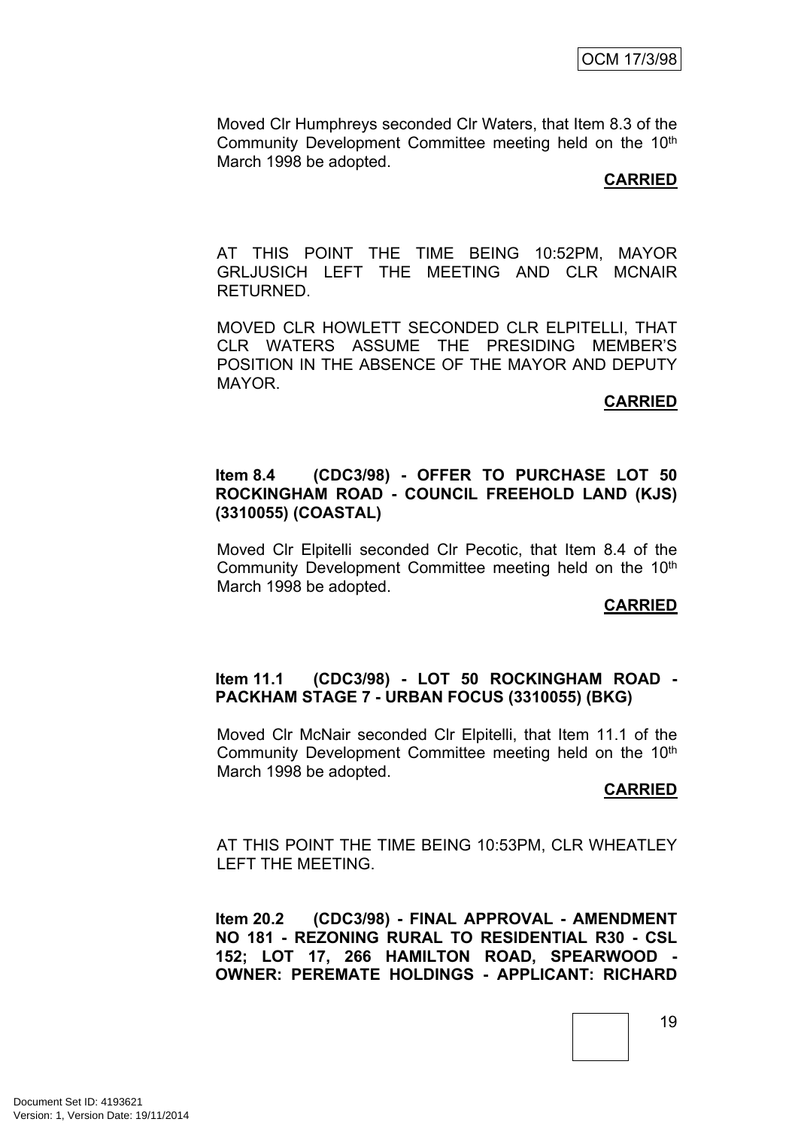Moved Clr Humphreys seconded Clr Waters, that Item 8.3 of the Community Development Committee meeting held on the 10<sup>th</sup> March 1998 be adopted.

## **CARRIED**

AT THIS POINT THE TIME BEING 10:52PM, MAYOR GRLJUSICH LEFT THE MEETING AND CLR MCNAIR RETURNED.

MOVED CLR HOWLETT SECONDED CLR ELPITELLI, THAT CLR WATERS ASSUME THE PRESIDING MEMBER'S POSITION IN THE ABSENCE OF THE MAYOR AND DEPUTY MAYOR.

## **CARRIED**

### **Item 8.4 (CDC3/98) - OFFER TO PURCHASE LOT 50 ROCKINGHAM ROAD - COUNCIL FREEHOLD LAND (KJS) (3310055) (COASTAL)**

Moved Clr Elpitelli seconded Clr Pecotic, that Item 8.4 of the Community Development Committee meeting held on the 10<sup>th</sup> March 1998 be adopted.

#### **CARRIED**

### **Item 11.1 (CDC3/98) - LOT 50 ROCKINGHAM ROAD - PACKHAM STAGE 7 - URBAN FOCUS (3310055) (BKG)**

Moved Clr McNair seconded Clr Elpitelli, that Item 11.1 of the Community Development Committee meeting held on the 10th March 1998 be adopted.

#### **CARRIED**

AT THIS POINT THE TIME BEING 10:53PM, CLR WHEATLEY LEFT THE MEETING.

**Item 20.2 (CDC3/98) - FINAL APPROVAL - AMENDMENT NO 181 - REZONING RURAL TO RESIDENTIAL R30 - CSL 152; LOT 17, 266 HAMILTON ROAD, SPEARWOOD - OWNER: PEREMATE HOLDINGS - APPLICANT: RICHARD**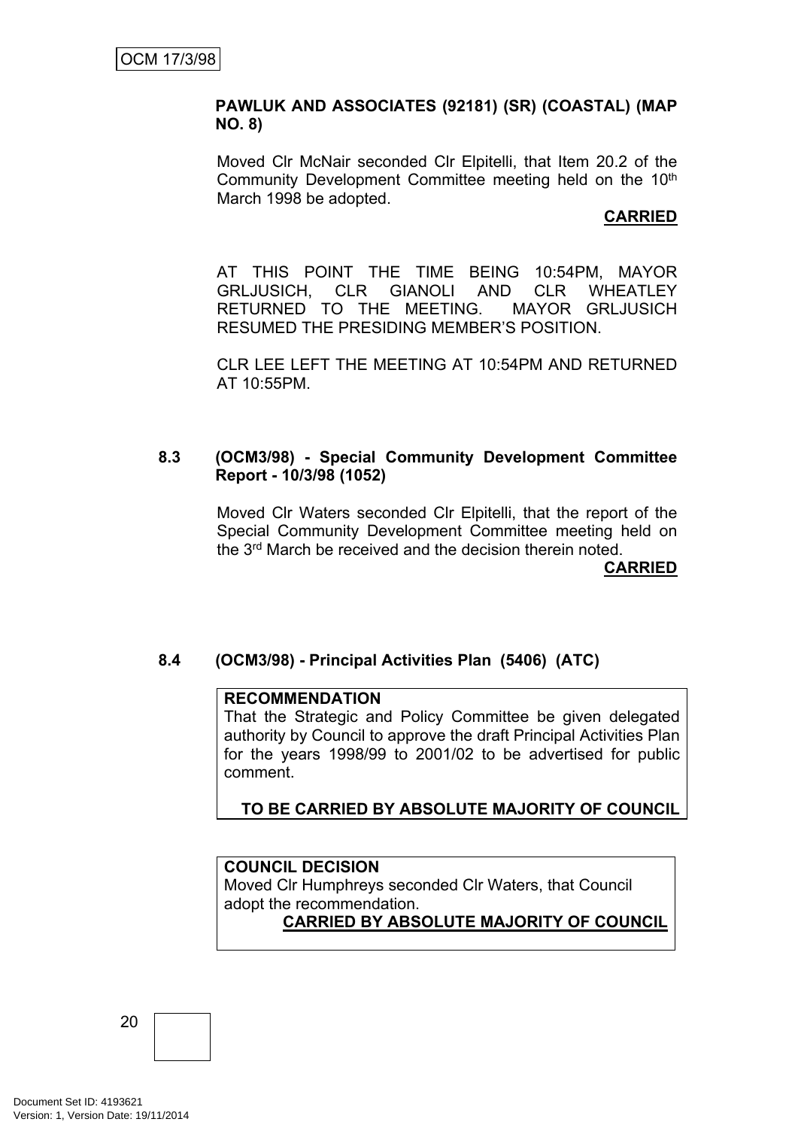## **PAWLUK AND ASSOCIATES (92181) (SR) (COASTAL) (MAP NO. 8)**

Moved Clr McNair seconded Clr Elpitelli, that Item 20.2 of the Community Development Committee meeting held on the 10th March 1998 be adopted.

## **CARRIED**

AT THIS POINT THE TIME BEING 10:54PM, MAYOR GRLJUSICH, CLR GIANOLI AND CLR WHEATLEY RETURNED TO THE MEETING. MAYOR GRLJUSICH RESUMED THE PRESIDING MEMBER'S POSITION.

CLR LEE LEFT THE MEETING AT 10:54PM AND RETURNED AT 10:55PM.

## **8.3 (OCM3/98) - Special Community Development Committee Report - 10/3/98 (1052)**

Moved Clr Waters seconded Clr Elpitelli, that the report of the Special Community Development Committee meeting held on the 3 rd March be received and the decision therein noted.

**CARRIED**

## **8.4 (OCM3/98) - Principal Activities Plan (5406) (ATC)**

## **RECOMMENDATION**

That the Strategic and Policy Committee be given delegated authority by Council to approve the draft Principal Activities Plan for the years 1998/99 to 2001/02 to be advertised for public comment.

## **TO BE CARRIED BY ABSOLUTE MAJORITY OF COUNCIL**

## **COUNCIL DECISION**

Moved Clr Humphreys seconded Clr Waters, that Council adopt the recommendation.

## **CARRIED BY ABSOLUTE MAJORITY OF COUNCIL**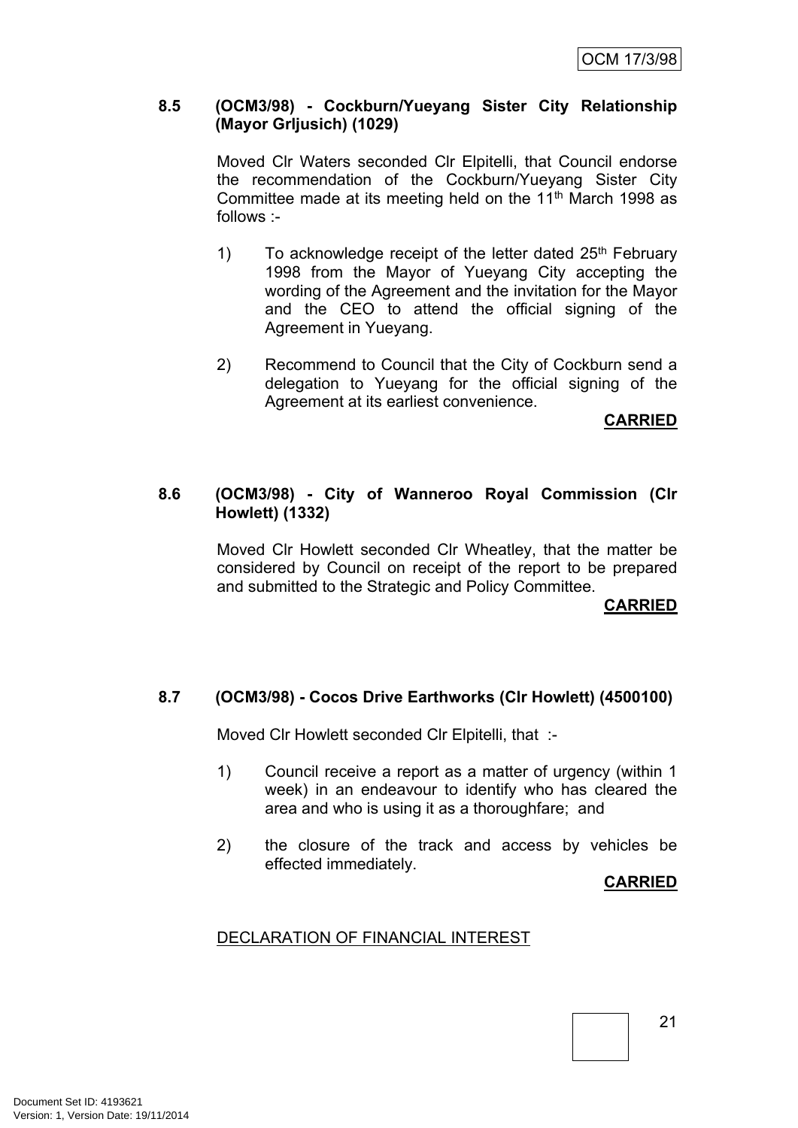## **8.5 (OCM3/98) - Cockburn/Yueyang Sister City Relationship (Mayor Grljusich) (1029)**

Moved Clr Waters seconded Clr Elpitelli, that Council endorse the recommendation of the Cockburn/Yueyang Sister City Committee made at its meeting held on the 11th March 1998 as follows :-

- 1) To acknowledge receipt of the letter dated  $25<sup>th</sup>$  February 1998 from the Mayor of Yueyang City accepting the wording of the Agreement and the invitation for the Mayor and the CEO to attend the official signing of the Agreement in Yueyang.
- 2) Recommend to Council that the City of Cockburn send a delegation to Yueyang for the official signing of the Agreement at its earliest convenience.

**CARRIED**

## **8.6 (OCM3/98) - City of Wanneroo Royal Commission (Clr Howlett) (1332)**

Moved Clr Howlett seconded Clr Wheatley, that the matter be considered by Council on receipt of the report to be prepared and submitted to the Strategic and Policy Committee.

**CARRIED**

## **8.7 (OCM3/98) - Cocos Drive Earthworks (Clr Howlett) (4500100)**

Moved Clr Howlett seconded Clr Elpitelli, that :-

- 1) Council receive a report as a matter of urgency (within 1 week) in an endeavour to identify who has cleared the area and who is using it as a thoroughfare; and
- 2) the closure of the track and access by vehicles be effected immediately.

**CARRIED**

## DECLARATION OF FINANCIAL INTEREST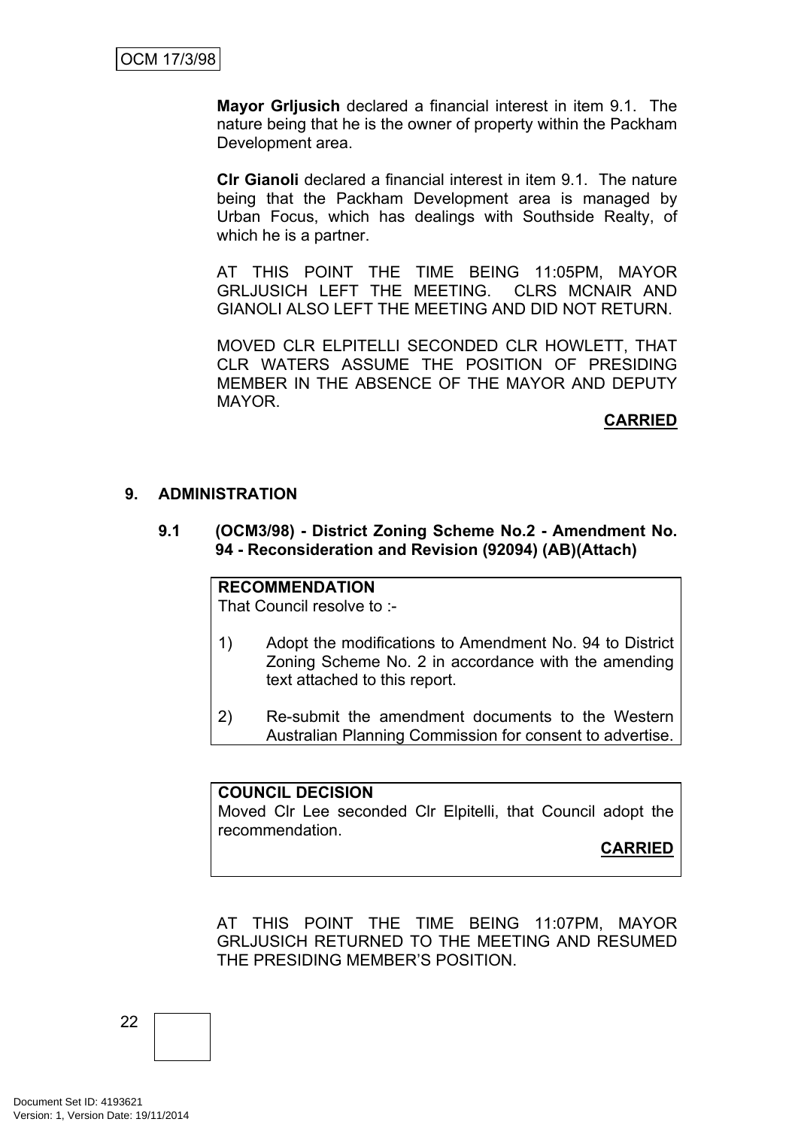**Mayor Grljusich** declared a financial interest in item 9.1. The nature being that he is the owner of property within the Packham Development area.

**Clr Gianoli** declared a financial interest in item 9.1. The nature being that the Packham Development area is managed by Urban Focus, which has dealings with Southside Realty, of which he is a partner.

AT THIS POINT THE TIME BEING 11:05PM, MAYOR GRLJUSICH LEFT THE MEETING. CLRS MCNAIR AND GIANOLI ALSO LEFT THE MEETING AND DID NOT RETURN.

MOVED CLR ELPITELLI SECONDED CLR HOWLETT, THAT CLR WATERS ASSUME THE POSITION OF PRESIDING MEMBER IN THE ABSENCE OF THE MAYOR AND DEPUTY MAYOR.

## **CARRIED**

## **9. ADMINISTRATION**

**9.1 (OCM3/98) - District Zoning Scheme No.2 - Amendment No. 94 - Reconsideration and Revision (92094) (AB)(Attach)**

## **RECOMMENDATION**

That Council resolve to :-

- 1) Adopt the modifications to Amendment No. 94 to District Zoning Scheme No. 2 in accordance with the amending text attached to this report.
- 2) Re-submit the amendment documents to the Western Australian Planning Commission for consent to advertise.

## **COUNCIL DECISION**

Moved Clr Lee seconded Clr Elpitelli, that Council adopt the recommendation.

**CARRIED**

AT THIS POINT THE TIME BEING 11:07PM, MAYOR GRLJUSICH RETURNED TO THE MEETING AND RESUMED THE PRESIDING MEMBER'S POSITION.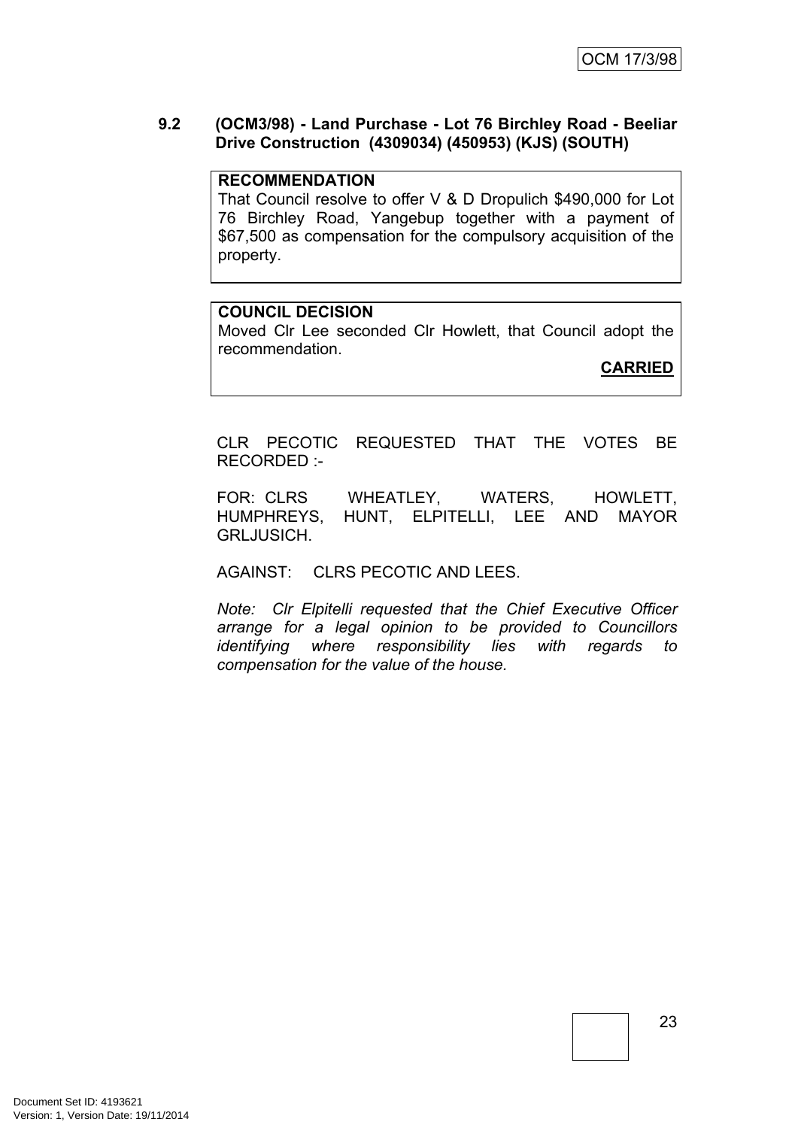## **9.2 (OCM3/98) - Land Purchase - Lot 76 Birchley Road - Beeliar Drive Construction (4309034) (450953) (KJS) (SOUTH)**

### **RECOMMENDATION**

That Council resolve to offer V & D Dropulich \$490,000 for Lot 76 Birchley Road, Yangebup together with a payment of \$67,500 as compensation for the compulsory acquisition of the property.

### **COUNCIL DECISION**

Moved Clr Lee seconded Clr Howlett, that Council adopt the recommendation.

**CARRIED**

CLR PECOTIC REQUESTED THAT THE VOTES BE RECORDED :-

FOR: CLRS WHEATLEY, WATERS, HOWLETT, HUMPHREYS, HUNT, ELPITELLI, LEE AND MAYOR GRLJUSICH.

## AGAINST: CLRS PECOTIC AND LEES.

*Note: Clr Elpitelli requested that the Chief Executive Officer arrange for a legal opinion to be provided to Councillors identifying where responsibility lies with regards to compensation for the value of the house.*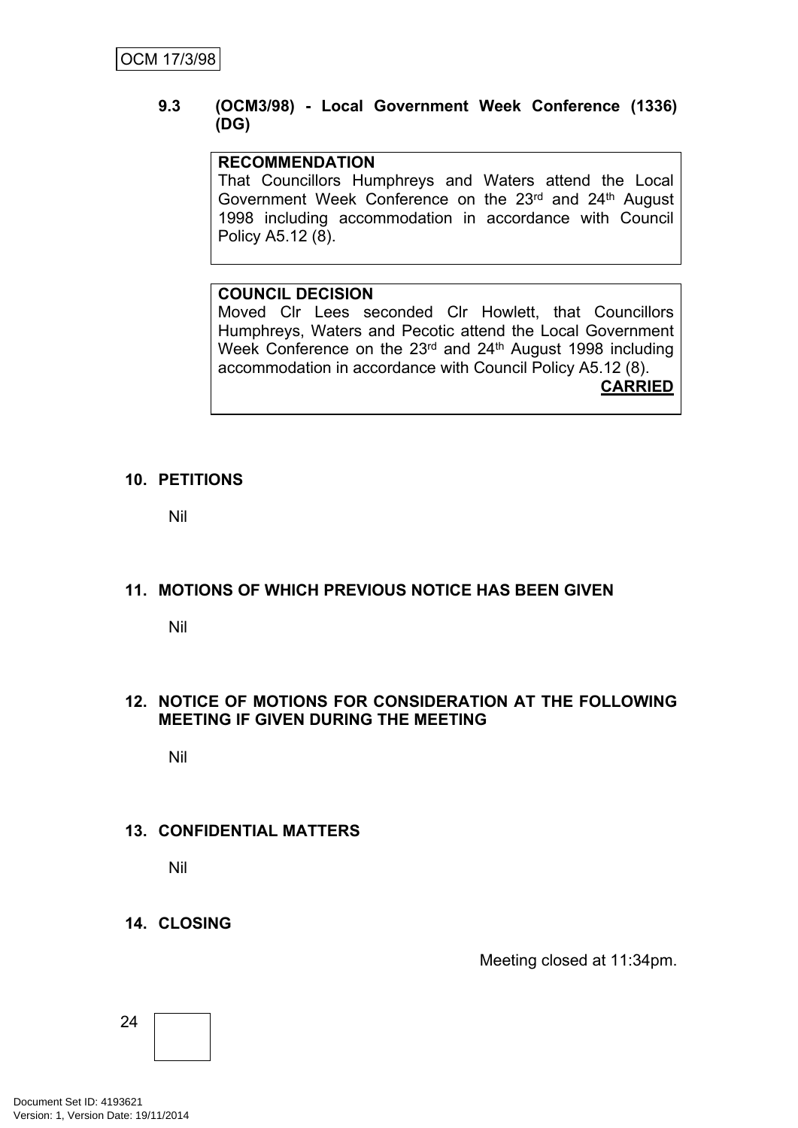## **9.3 (OCM3/98) - Local Government Week Conference (1336) (DG)**

## **RECOMMENDATION**

That Councillors Humphreys and Waters attend the Local Government Week Conference on the 23rd and 24th August 1998 including accommodation in accordance with Council Policy A5.12 (8).

## **COUNCIL DECISION**

Moved Clr Lees seconded Clr Howlett, that Councillors Humphreys, Waters and Pecotic attend the Local Government Week Conference on the 23<sup>rd</sup> and 24<sup>th</sup> August 1998 including accommodation in accordance with Council Policy A5.12 (8). **CARRIED**

## **10. PETITIONS**

Nil

## **11. MOTIONS OF WHICH PREVIOUS NOTICE HAS BEEN GIVEN**

Nil

## **12. NOTICE OF MOTIONS FOR CONSIDERATION AT THE FOLLOWING MEETING IF GIVEN DURING THE MEETING**

Nil

## **13. CONFIDENTIAL MATTERS**

Nil

## **14. CLOSING**

Meeting closed at 11:34pm.